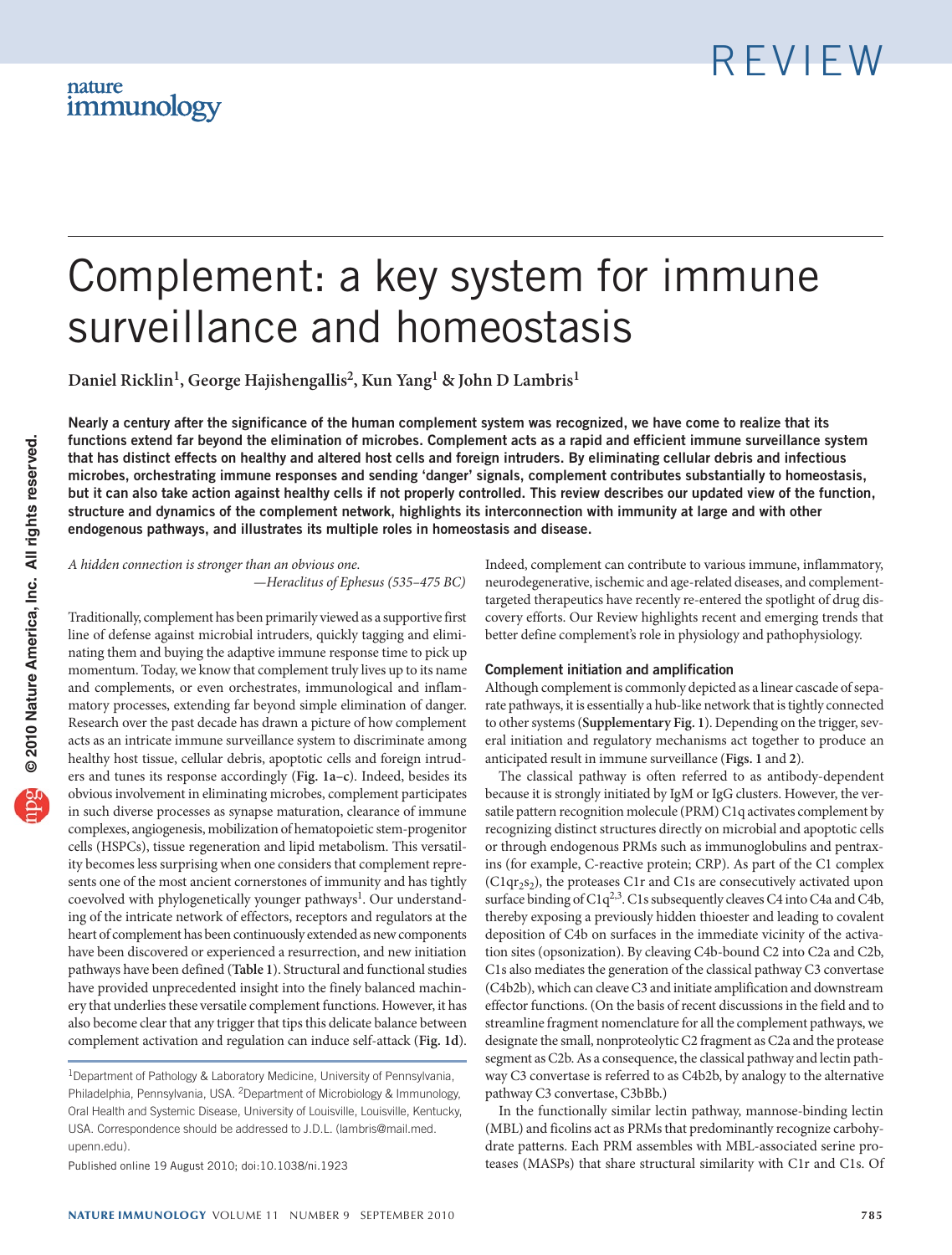# Complement: a key system for immune surveillance and homeostasis

**Daniel Ricklin1, George Hajishengallis2, Kun Yang1 & John D Lambris1**

Nearly a century after the significance of the human complement system was recognized, we have come to realize that its functions extend far beyond the elimination of microbes. Complement acts as a rapid and efficient immune surveillance system that has distinct effects on healthy and altered host cells and foreign intruders. By eliminating cellular debris and infectious microbes, orchestrating immune responses and sending 'danger' signals, complement contributes substantially to homeostasis, but it can also take action against healthy cells if not properly controlled. This review describes our updated view of the function, structure and dynamics of the complement network, highlights its interconnection with immunity at large and with other endogenous pathways, and illustrates its multiple roles in homeostasis and disease.

*A hidden connection is stronger than an obvious one. —Heraclitus of Ephesus (535–475 BC)*

Traditionally, complement has been primarily viewed as a supportive first line of defense against microbial intruders, quickly tagging and eliminating them and buying the adaptive immune response time to pick up momentum. Today, we know that complement truly lives up to its name and complements, or even orchestrates, immunological and inflammatory processes, extending far beyond simple elimination of danger. Research over the past decade has drawn a picture of how complement acts as an intricate immune surveillance system to discriminate among healthy host tissue, cellular debris, apoptotic cells and foreign intruders and tunes its response accordingly (**Fig. 1a–c**). Indeed, besides its obvious involvement in eliminating microbes, complement participates in such diverse processes as synapse maturation, clearance of immune complexes, angiogenesis, mobilization of hematopoietic stem-progenitor cells (HSPCs), tissue regeneration and lipid metabolism. This versatility becomes less surprising when one considers that complement represents one of the most ancient cornerstones of immunity and has tightly coevolved with phylogenetically younger pathways<sup>1</sup>. Our understanding of the intricate network of effectors, receptors and regulators at the heart of complement has been continuously extended as new components have been discovered or experienced a resurrection, and new initiation pathways have been defined (**Table 1**). Structural and functional studies have provided unprecedented insight into the finely balanced machinery that underlies these versatile complement functions. However, it has also become clear that any trigger that tips this delicate balance between complement activation and regulation can induce self-attack (**Fig. 1d**). Indeed, complement can contribute to various immune, inflammatory, neurodegenerative, ischemic and age-related diseases, and complementtargeted therapeutics have recently re-entered the spotlight of drug discovery efforts. Our Review highlights recent and emerging trends that better define complement's role in physiology and pathophysiology.

## Complement initiation and amplification

Although complement is commonly depicted as a linear cascade of separate pathways, it is essentially a hub-like network that is tightly connected to other systems (**Supplementary Fig. 1**). Depending on the trigger, several initiation and regulatory mechanisms act together to produce an anticipated result in immune surveillance (**Figs. 1** and **2**).

The classical pathway is often referred to as antibody-dependent because it is strongly initiated by IgM or IgG clusters. However, the versatile pattern recognition molecule (PRM) C1q activates complement by recognizing distinct structures directly on microbial and apoptotic cells or through endogenous PRMs such as immunoglobulins and pentraxins (for example, C-reactive protein; CRP). As part of the C1 complex  $(C1qr_2s_2)$ , the proteases C1r and C1s are consecutively activated upon surface binding of  $C1q^{2,3}$ . C1s subsequently cleaves C4 into C4a and C4b, thereby exposing a previously hidden thioester and leading to covalent deposition of C4b on surfaces in the immediate vicinity of the activation sites (opsonization). By cleaving C4b-bound C2 into C2a and C2b, C1s also mediates the generation of the classical pathway C3 convertase (C4b2b), which can cleave C3 and initiate amplification and downstream effector functions. (On the basis of recent discussions in the field and to streamline fragment nomenclature for all the complement pathways, we designate the small, nonproteolytic C2 fragment as C2a and the protease segment as C2b. As a consequence, the classical pathway and lectin pathway C3 convertase is referred to as C4b2b, by analogy to the alternative pathway C3 convertase, C3bBb.)

In the functionally similar lectin pathway, mannose-binding lectin (MBL) and ficolins act as PRMs that predominantly recognize carbohydrate patterns. Each PRM assembles with MBL-associated serine proteases (MASPs) that share structural similarity with C1r and C1s. Of

<sup>&</sup>lt;sup>1</sup>Department of Pathology & Laboratory Medicine, University of Pennsylvania, Philadelphia, Pennsylvania, USA. 2Department of Microbiology & Immunology, Oral Health and Systemic Disease, University of Louisville, Louisville, Kentucky, USA. Correspondence should be addressed to J.D.L. ([lambris@mail.med.](mailto:lambris@mail.med.upenn.edu) [upenn.edu\)](mailto:lambris@mail.med.upenn.edu).

Published online 19 August 2010; [doi:10.1038/ni.1923](http://www.nature.com/doifinder/10.1038/ni.1923)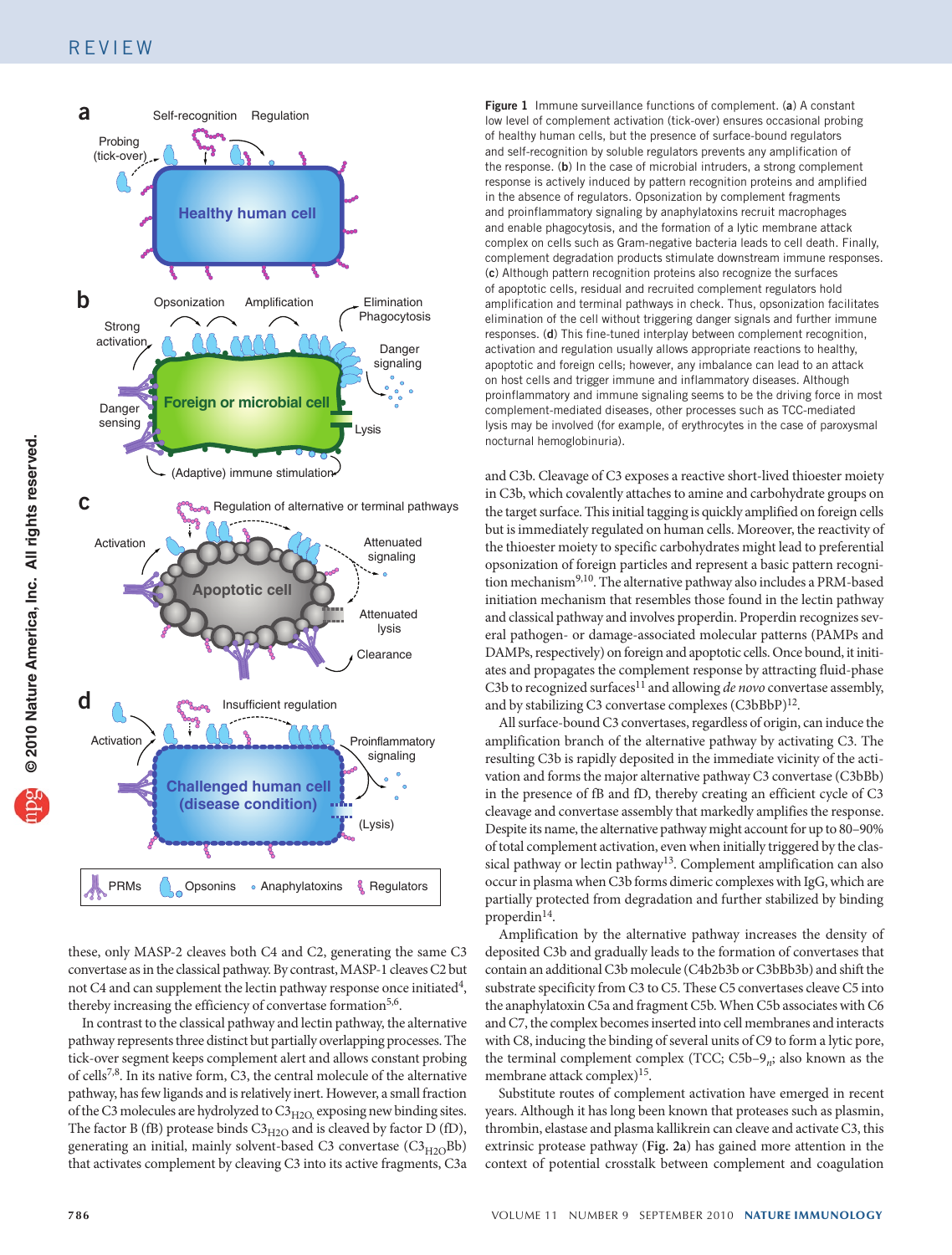

these, only MASP-2 cleaves both C4 and C2, generating the same C3 convertase as in the classical pathway. By contrast, MASP-1 cleaves C2 but not C4 and can supplement the lectin pathway response once initiated<sup>4</sup>, thereby increasing the efficiency of convertase formation<sup>5,6</sup>.

In contrast to the classical pathway and lectin pathway, the alternative pathway represents three distinct but partially overlapping processes. The tick-over segment keeps complement alert and allows constant probing of cells7,8. In its native form, C3, the central molecule of the alternative pathway, has few ligands and is relatively inert. However, a small fraction of the C3 molecules are hydrolyzed to  $C3_{H2O}$ , exposing new binding sites. The factor B (fB) protease binds  $C3_{H2O}$  and is cleaved by factor D (fD), generating an initial, mainly solvent-based C3 convertase  $(C3_{H2O}Bb)$ that activates complement by cleaving C3 into its active fragments, C3a

**a** Figure 1 Immune surveillance functions of complement. (a) A constant Care Self-recognition Regulation complement activation (tick-over) ensures occasional probing of healthy human cells, but the presence of surface-bound regulators and self-recognition by soluble regulators prevents any amplification of the response. (b) In the case of microbial intruders, a strong complement response is actively induced by pattern recognition proteins and amplified in the absence of regulators. Opsonization by complement fragments and proinflammatory signaling by anaphylatoxins recruit macrophages and enable phagocytosis, and the formation of a lytic membrane attack complex on cells such as Gram-negative bacteria leads to cell death. Finally, complement degradation products stimulate downstream immune responses. (c) Although pattern recognition proteins also recognize the surfaces of apoptotic cells, residual and recruited complement regulators hold amplification and terminal pathways in check. Thus, opsonization facilitates elimination of the cell without triggering danger signals and further immune responses. (d) This fine-tuned interplay between complement recognition, activation and regulation usually allows appropriate reactions to healthy, apoptotic and foreign cells; however, any imbalance can lead to an attack on host cells and trigger immune and inflammatory diseases. Although proinflammatory and immune signaling seems to be the driving force in most complement-mediated diseases, other processes such as TCC-mediated lysis may be involved (for example, of erythrocytes in the case of paroxysmal nocturnal hemoglobinuria).

> and C3b. Cleavage of C3 exposes a reactive short-lived thioester moiety in C3b, which covalently attaches to amine and carbohydrate groups on the target surface. This initial tagging is quickly amplified on foreign cells but is immediately regulated on human cells. Moreover, the reactivity of the thioester moiety to specific carbohydrates might lead to preferential opsonization of foreign particles and represent a basic pattern recognition mechanism<sup>9,10</sup>. The alternative pathway also includes a PRM-based initiation mechanism that resembles those found in the lectin pathway and classical pathway and involves properdin. Properdin recognizes several pathogen- or damage-associated molecular patterns (PAMPs and DAMPs, respectively) on foreign and apoptotic cells. Once bound, it initiates and propagates the complement response by attracting fluid-phase C3b to recognized surfaces<sup>11</sup> and allowing *de novo* convertase assembly, and by stabilizing C3 convertase complexes  $(C3bBbP)^{12}$ .

> All surface-bound C3 convertases, regardless of origin, can induce the amplification branch of the alternative pathway by activating C3. The resulting C3b is rapidly deposited in the immediate vicinity of the activation and forms the major alternative pathway C3 convertase (C3bBb) in the presence of fB and fD, thereby creating an efficient cycle of C3 cleavage and convertase assembly that markedly amplifies the response. Despite its name, the alternative pathway might account for up to 80–90% of total complement activation, even when initially triggered by the classical pathway or lectin pathway<sup>13</sup>. Complement amplification can also occur in plasma when C3b forms dimeric complexes with IgG, which are partially protected from degradation and further stabilized by binding properdin<sup>14</sup>.

> Amplification by the alternative pathway increases the density of deposited C3b and gradually leads to the formation of convertases that contain an additional C3b molecule (C4b2b3b or C3bBb3b) and shift the substrate specificity from C3 to C5. These C5 convertases cleave C5 into the anaphylatoxin C5a and fragment C5b. When C5b associates with C6 and C7, the complex becomes inserted into cell membranes and interacts with C8, inducing the binding of several units of C9 to form a lytic pore, the terminal complement complex (TCC; C5b–9*n*; also known as the membrane attack complex)<sup>15</sup>.

> Substitute routes of complement activation have emerged in recent years. Although it has long been known that proteases such as plasmin, thrombin, elastase and plasma kallikrein can cleave and activate C3, this extrinsic protease pathway (**Fig. 2a**) has gained more attention in the context of potential crosstalk between complement and coagulation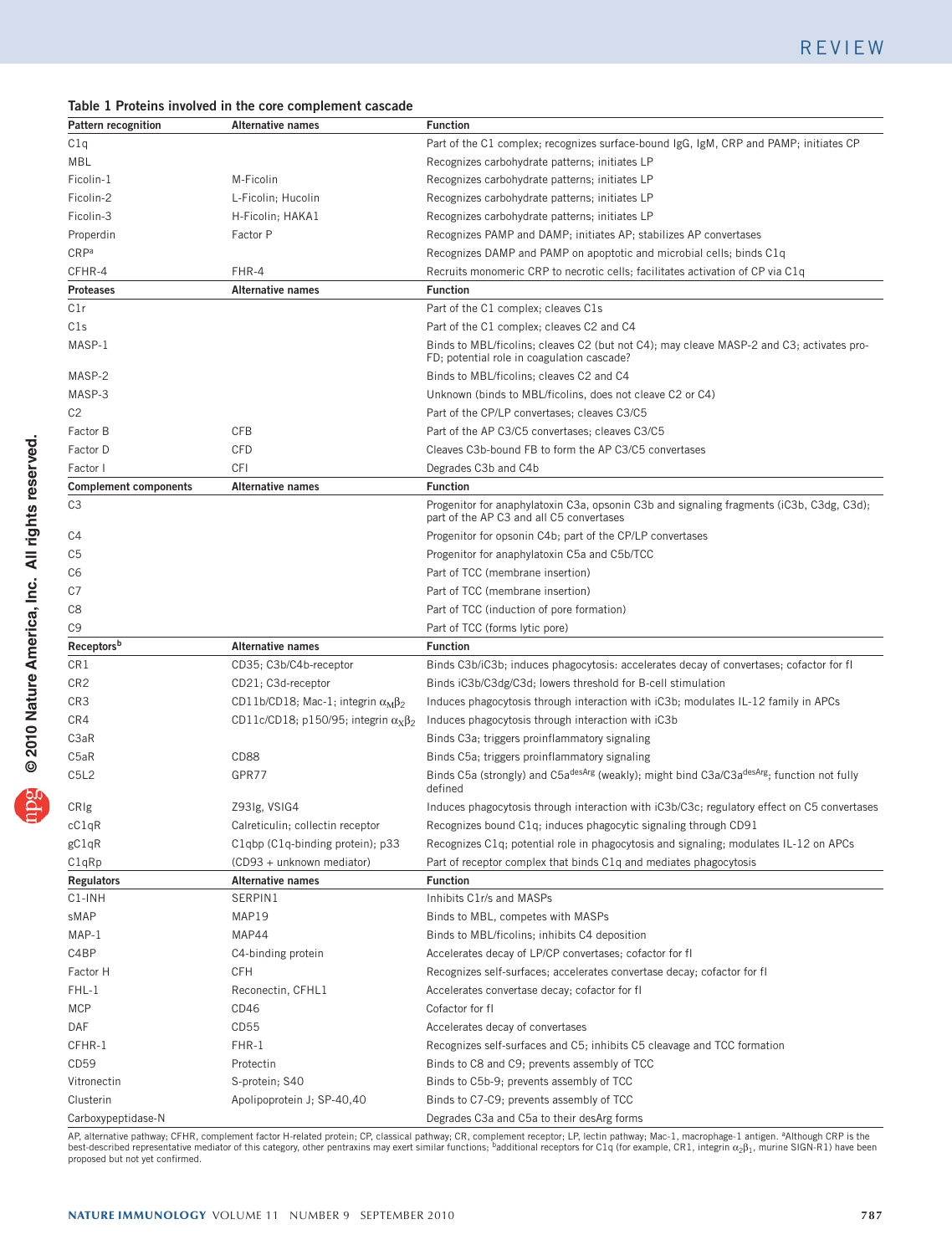# Table 1 Proteins involved in the core complement cascade

| Pattern recognition           | <b>Alternative names</b>                        | <b>Function</b>                                                                                                                      |
|-------------------------------|-------------------------------------------------|--------------------------------------------------------------------------------------------------------------------------------------|
| C1q                           |                                                 | Part of the C1 complex; recognizes surface-bound IgG, IgM, CRP and PAMP; initiates CP                                                |
| MBL                           |                                                 | Recognizes carbohydrate patterns; initiates LP                                                                                       |
| Ficolin-1                     | M-Ficolin                                       | Recognizes carbohydrate patterns; initiates LP                                                                                       |
| Ficolin-2                     | L-Ficolin; Hucolin                              | Recognizes carbohydrate patterns; initiates LP                                                                                       |
| Ficolin-3                     | H-Ficolin; HAKA1                                | Recognizes carbohydrate patterns; initiates LP                                                                                       |
| Properdin                     | Factor P                                        | Recognizes PAMP and DAMP; initiates AP; stabilizes AP convertases                                                                    |
| CR <sub>Pa</sub>              |                                                 | Recognizes DAMP and PAMP on apoptotic and microbial cells; binds C1q                                                                 |
| CFHR-4                        | FHR-4                                           | Recruits monomeric CRP to necrotic cells; facilitates activation of CP via C1q                                                       |
| <b>Proteases</b>              | <b>Alternative names</b>                        | <b>Function</b>                                                                                                                      |
| C1r                           |                                                 | Part of the C1 complex; cleaves C1s                                                                                                  |
| C <sub>1s</sub>               |                                                 | Part of the C1 complex; cleaves C2 and C4                                                                                            |
| MASP-1                        |                                                 | Binds to MBL/ficolins; cleaves C2 (but not C4); may cleave MASP-2 and C3; activates pro-                                             |
|                               |                                                 | FD; potential role in coagulation cascade?                                                                                           |
| MASP-2                        |                                                 | Binds to MBL/ficolins; cleaves C2 and C4                                                                                             |
| MASP-3                        |                                                 | Unknown (binds to MBL/ficolins, does not cleave C2 or C4)                                                                            |
| C <sub>2</sub>                |                                                 | Part of the CP/LP convertases; cleaves C3/C5                                                                                         |
| Factor B                      | CFB                                             | Part of the AP C3/C5 convertases; cleaves C3/C5                                                                                      |
| Factor D                      | CFD                                             | Cleaves C3b-bound FB to form the AP C3/C5 convertases                                                                                |
| Factor I                      | CFI                                             | Degrades C3b and C4b                                                                                                                 |
| <b>Complement components</b>  | <b>Alternative names</b>                        | <b>Function</b>                                                                                                                      |
| C <sub>3</sub>                |                                                 | Progenitor for anaphylatoxin C3a, opsonin C3b and signaling fragments (iC3b, C3dg, C3d);<br>part of the AP C3 and all C5 convertases |
| C4                            |                                                 | Progenitor for opsonin C4b; part of the CP/LP convertases                                                                            |
| C <sub>5</sub>                |                                                 | Progenitor for anaphylatoxin C5a and C5b/TCC                                                                                         |
| C6                            |                                                 | Part of TCC (membrane insertion)                                                                                                     |
| C7                            |                                                 | Part of TCC (membrane insertion)                                                                                                     |
| C8                            |                                                 | Part of TCC (induction of pore formation)                                                                                            |
| C9                            |                                                 | Part of TCC (forms lytic pore)                                                                                                       |
| Receptorsb                    | <b>Alternative names</b>                        | <b>Function</b>                                                                                                                      |
| CR1                           | CD35; C3b/C4b-receptor                          | Binds C3b/iC3b; induces phagocytosis: accelerates decay of convertases; cofactor for fl                                              |
| CR <sub>2</sub>               | CD21; C3d-receptor                              | Binds iC3b/C3dg/C3d; lowers threshold for B-cell stimulation                                                                         |
| CR <sub>3</sub>               | CD11b/CD18; Mac-1; integrin $\alpha_M\beta_2$   | Induces phagocytosis through interaction with iC3b; modulates IL-12 family in APCs                                                   |
| CR4                           | CD11c/CD18; p150/95; integrin $\alpha_x\beta_2$ | Induces phagocytosis through interaction with iC3b                                                                                   |
| C <sub>3</sub> aR             |                                                 | Binds C3a; triggers proinflammatory signaling                                                                                        |
| C5aR                          | CD88                                            | Binds C5a; triggers proinflammatory signaling                                                                                        |
| C <sub>5</sub> L <sub>2</sub> | GPR77                                           | Binds C5a (strongly) and C5a <sup>desArg</sup> (weakly); might bind C3a/C3a <sup>desArg</sup> ; function not fully                   |
|                               |                                                 | defined                                                                                                                              |
| CRIg                          | Z93lg, VSIG4                                    | Induces phagocytosis through interaction with iC3b/C3c; regulatory effect on C5 convertases                                          |
| cC1qR                         | Calreticulin; collectin receptor                | Recognizes bound C1q; induces phagocytic signaling through CD91                                                                      |
| gC1qR                         | C1qbp (C1q-binding protein); p33                | Recognizes C1q; potential role in phagocytosis and signaling; modulates IL-12 on APCs                                                |
| C1qRp                         | (CD93 + unknown mediator)                       | Part of receptor complex that binds C <sub>1q</sub> and mediates phagocytosis                                                        |
| <b>Regulators</b>             | <b>Alternative names</b>                        | <b>Function</b>                                                                                                                      |
| C <sub>1</sub> -INH           | SERPIN1                                         | Inhibits C1r/s and MASPs                                                                                                             |
| sMAP                          | MAP19                                           | Binds to MBL, competes with MASPs                                                                                                    |
| MAP-1                         | MAP44                                           | Binds to MBL/ficolins; inhibits C4 deposition                                                                                        |
| C4BP                          | C4-binding protein                              | Accelerates decay of LP/CP convertases; cofactor for fl                                                                              |
| Factor H                      | CFH                                             | Recognizes self-surfaces; accelerates convertase decay; cofactor for fl                                                              |
| $FHL-1$                       | Reconectin, CFHL1                               | Accelerates convertase decay; cofactor for fl                                                                                        |
| MCP                           | CD46                                            | Cofactor for fl                                                                                                                      |
| DAF                           | CD55                                            | Accelerates decay of convertases                                                                                                     |
| CFHR-1                        | FHR-1                                           | Recognizes self-surfaces and C5; inhibits C5 cleavage and TCC formation                                                              |
| CD <sub>59</sub>              | Protectin                                       | Binds to C8 and C9; prevents assembly of TCC                                                                                         |
| Vitronectin                   | S-protein; S40                                  | Binds to C5b-9; prevents assembly of TCC                                                                                             |
| Clusterin                     | Apolipoprotein J; SP-40,40                      | Binds to C7-C9; prevents assembly of TCC                                                                                             |
|                               |                                                 | Degrades C3a and C5a to their desArg forms                                                                                           |
| Carboxypeptidase-N            |                                                 |                                                                                                                                      |

AP, alternative pathway; CFHR, complement factor H-related protein; CP, classical pathway; CR, complement receptor; LP, lectin pathway; Mac-1, macrophage-1 antigen. ªAlthough CRP is the<br>best-described representative media proposed but not yet confirmed.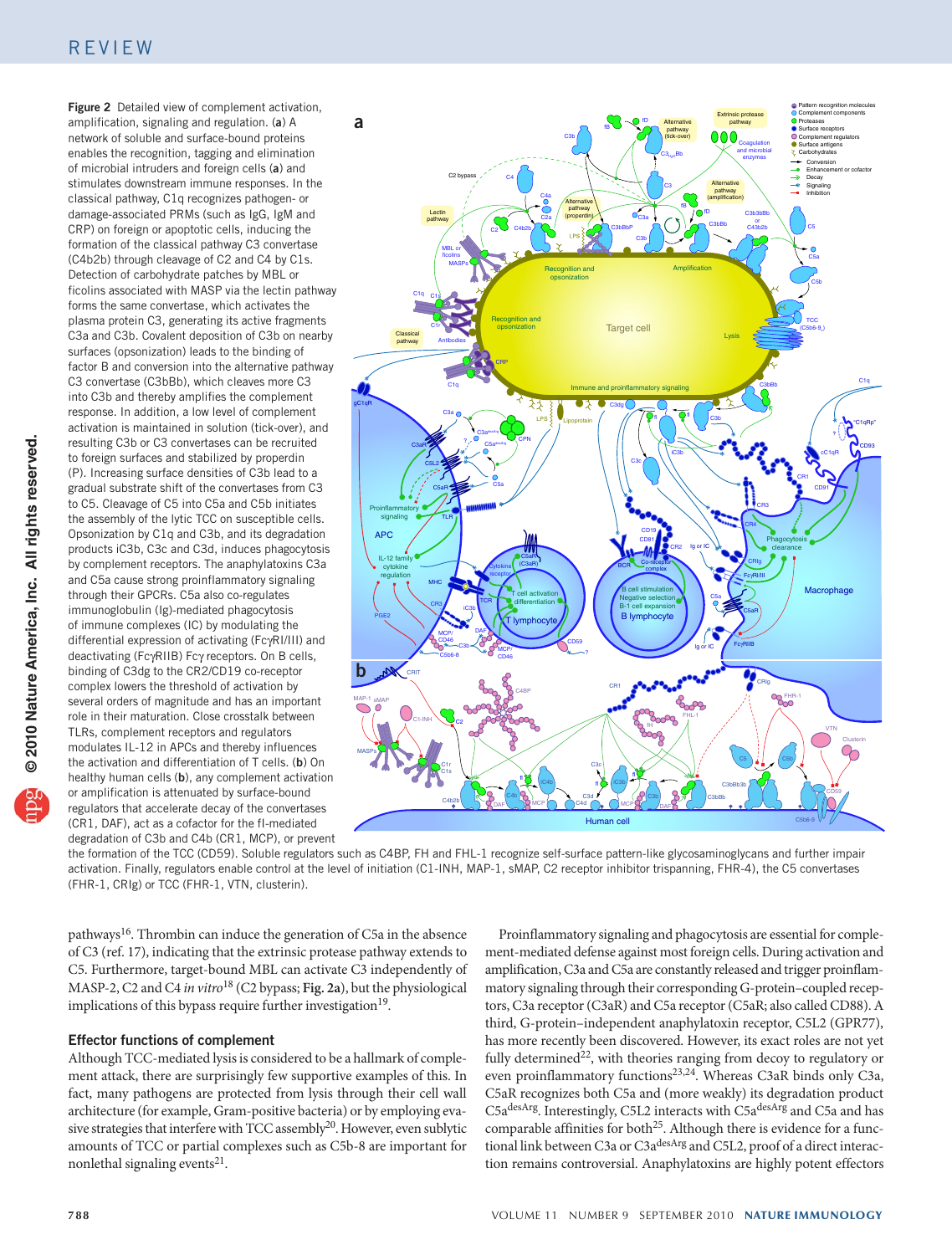**© 2010 Nature America, Inc. All rights reserved.**© 2010 Nature America, Inc. All rights reserved.

Figure 2 Detailed view of complement activation, amplification, signaling and regulation. (a) A network of soluble and surface-bound proteins enables the recognition, tagging and elimination of microbial intruders and foreign cells (a) and stimulates downstream immune responses. In the classical pathway, C1q recognizes pathogen- or damage-associated PRMs (such as IgG, IgM and CRP) on foreign or apoptotic cells, inducing the formation of the classical pathway C3 convertase (C4b2b) through cleavage of C2 and C4 by C1s. Detection of carbohydrate patches by MBL or ficolins associated with MASP via the lectin pathway forms the same convertase, which activates the plasma protein C3, generating its active fragments C3a and C3b. Covalent deposition of C3b on nearby surfaces (opsonization) leads to the binding of factor B and conversion into the alternative pathway C3 convertase (C3bBb), which cleaves more C3 into C3b and thereby amplifies the complement response. In addition, a low level of complement activation is maintained in solution (tick-over), and resulting C3b or C3 convertases can be recruited to foreign surfaces and stabilized by properdin (P). Increasing surface densities of C3b lead to a gradual substrate shift of the convertases from C3 to C5. Cleavage of C5 into C5a and C5b initiates the assembly of the lytic TCC on susceptible cells. Opsonization by C1q and C3b, and its degradation products iC3b, C3c and C3d, induces phagocytosis by complement receptors. The anaphylatoxins C3a and C5a cause strong proinflammatory signaling through their GPCRs. C5a also co-regulates immunoglobulin (Ig)-mediated phagocytosis of immune complexes (IC) by modulating the differential expression of activating (FcγRI/III) and deactivating (FcγRIIB) Fcγ receptors. On B cells, binding of C3dg to the CR2/CD19 co-receptor complex lowers the threshold of activation by several orders of magnitude and has an important role in their maturation. Close crosstalk between TLRs, complement receptors and regulators modulates IL-12 in APCs and thereby influences the activation and differentiation of T cells. (b) On healthy human cells (b), any complement activation or amplification is attenuated by surface-bound regulators that accelerate decay of the convertases (CR1, DAF), act as a cofactor for the fI-mediated degradation of C3b and C4b (CR1, MCP), or prevent



the formation of the TCC (CD59). Soluble regulators such as C4BP, FH and FHL-1 recognize self-surface pattern-like glycosaminoglycans and further impair activation. Finally, regulators enable control at the level of initiation (C1-INH, MAP-1, sMAP, C2 receptor inhibitor trispanning, FHR-4), the C5 convertases (FHR-1, CRIg) or TCC (FHR-1, VTN, clusterin).

pathways<sup>16</sup>. Thrombin can induce the generation of C5a in the absence of C3 (ref. 17), indicating that the extrinsic protease pathway extends to C5. Furthermore, target-bound MBL can activate C3 independently of MASP-2, C2 and C4 *in vitro*18 (C2 bypass; **Fig. 2a**), but the physiological implications of this bypass require further investigation<sup>19</sup>.

### Effector functions of complement

Although TCC-mediated lysis is considered to be a hallmark of complement attack, there are surprisingly few supportive examples of this. In fact, many pathogens are protected from lysis through their cell wall architecture (for example, Gram-positive bacteria) or by employing evasive strategies that interfere with TCC assembly<sup>20</sup>. However, even sublytic amounts of TCC or partial complexes such as C5b-8 are important for nonlethal signaling events<sup>21</sup>.

Proinflammatory signaling and phagocytosis are essential for complement-mediated defense against most foreign cells. During activation and amplification, C3a and C5a are constantly released and trigger proinflammatory signaling through their corresponding G-protein–coupled receptors, C3a receptor (C3aR) and C5a receptor (C5aR; also called CD88). A third, G-protein–independent anaphylatoxin receptor, C5L2 (GPR77), has more recently been discovered. However, its exact roles are not yet fully determined<sup>22</sup>, with theories ranging from decoy to regulatory or even proinflammatory functions<sup>23,24</sup>. Whereas C3aR binds only C3a, C5aR recognizes both C5a and (more weakly) its degradation product C5adesArg. Interestingly, C5L2 interacts with C5adesArg and C5a and has comparable affinities for both<sup>25</sup>. Although there is evidence for a functional link between C3a or C3a<sup>desArg</sup> and C5L2, proof of a direct interaction remains controversial. Anaphylatoxins are highly potent effectors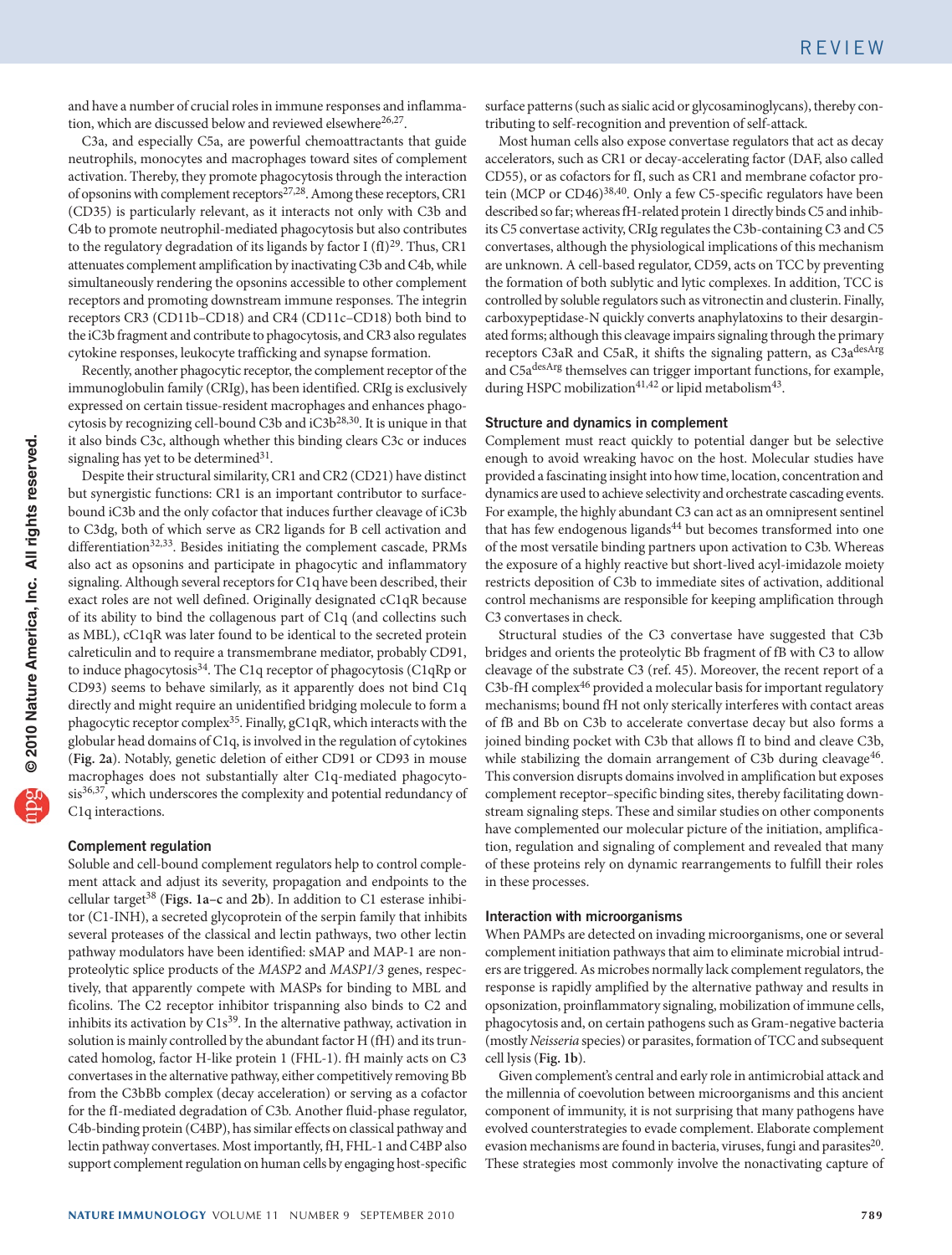and have a number of crucial roles in immune responses and inflammation, which are discussed below and reviewed elsewhere<sup>26,27</sup>.

C3a, and especially C5a, are powerful chemoattractants that guide neutrophils, monocytes and macrophages toward sites of complement activation. Thereby, they promote phagocytosis through the interaction of opsonins with complement receptors<sup>27,28</sup>. Among these receptors, CR1 (CD35) is particularly relevant, as it interacts not only with C3b and C4b to promote neutrophil-mediated phagocytosis but also contributes to the regulatory degradation of its ligands by factor I (fI)<sup>29</sup>. Thus, CR1 attenuates complement amplification by inactivating C3b and C4b, while simultaneously rendering the opsonins accessible to other complement receptors and promoting downstream immune responses. The integrin receptors CR3 (CD11b–CD18) and CR4 (CD11c–CD18) both bind to the iC3b fragment and contribute to phagocytosis, and CR3 also regulates cytokine responses, leukocyte trafficking and synapse formation.

Recently, another phagocytic receptor, the complement receptor of the immunoglobulin family (CRIg), has been identified. CRIg is exclusively expressed on certain tissue-resident macrophages and enhances phagocytosis by recognizing cell-bound C3b and iC3b<sup>28,30</sup>. It is unique in that it also binds C3c, although whether this binding clears C3c or induces signaling has yet to be determined<sup>31</sup>.

Despite their structural similarity, CR1 and CR2 (CD21) have distinct but synergistic functions: CR1 is an important contributor to surfacebound iC3b and the only cofactor that induces further cleavage of iC3b to C3dg, both of which serve as CR2 ligands for B cell activation and differentiation<sup>32,33</sup>. Besides initiating the complement cascade, PRMs also act as opsonins and participate in phagocytic and inflammatory signaling. Although several receptors for C1q have been described, their exact roles are not well defined. Originally designated cC1qR because of its ability to bind the collagenous part of C1q (and collectins such as MBL), cC1qR was later found to be identical to the secreted protein calreticulin and to require a transmembrane mediator, probably CD91, to induce phagocytosis<sup>34</sup>. The C1q receptor of phagocytosis (C1qRp or CD93) seems to behave similarly, as it apparently does not bind C1q directly and might require an unidentified bridging molecule to form a phagocytic receptor complex<sup>35</sup>. Finally,  $gC1qR$ , which interacts with the globular head domains of C1q, is involved in the regulation of cytokines (**Fig. 2a**). Notably, genetic deletion of either CD91 or CD93 in mouse macrophages does not substantially alter C1q-mediated phagocytosis<sup>36,37</sup>, which underscores the complexity and potential redundancy of C1q interactions.

# Complement regulation

Soluble and cell-bound complement regulators help to control complement attack and adjust its severity, propagation and endpoints to the cellular target<sup>38</sup> (Figs. 1a-c and 2b). In addition to C1 esterase inhibitor (C1-INH), a secreted glycoprotein of the serpin family that inhibits several proteases of the classical and lectin pathways, two other lectin pathway modulators have been identified: sMAP and MAP-1 are nonproteolytic splice products of the *MASP2* and *MASP1/3* genes, respectively, that apparently compete with MASPs for binding to MBL and ficolins. The C2 receptor inhibitor trispanning also binds to C2 and inhibits its activation by  $C1s^{39}$ . In the alternative pathway, activation in solution is mainly controlled by the abundant factor H (fH) and its truncated homolog, factor H-like protein 1 (FHL-1). fH mainly acts on C3 convertases in the alternative pathway, either competitively removing Bb from the C3bBb complex (decay acceleration) or serving as a cofactor for the fI-mediated degradation of C3b. Another fluid-phase regulator, C4b-binding protein (C4BP), has similar effects on classical pathway and lectin pathway convertases. Most importantly, fH, FHL-1 and C4BP also support complement regulation on human cells by engaging host-specific

surface patterns (such as sialic acid or glycosaminoglycans), thereby contributing to self-recognition and prevention of self-attack.

Most human cells also expose convertase regulators that act as decay accelerators, such as CR1 or decay-accelerating factor (DAF, also called CD55), or as cofactors for fI, such as CR1 and membrane cofactor protein (MCP or CD46)<sup>38,40</sup>. Only a few C5-specific regulators have been described so far; whereas fH-related protein 1 directly binds C5 and inhibits C5 convertase activity, CRIg regulates the C3b-containing C3 and C5 convertases, although the physiological implications of this mechanism are unknown. A cell-based regulator, CD59, acts on TCC by preventing the formation of both sublytic and lytic complexes. In addition, TCC is controlled by soluble regulators such as vitronectin and clusterin. Finally, carboxypeptidase-N quickly converts anaphylatoxins to their desarginated forms; although this cleavage impairs signaling through the primary receptors C3aR and C5aR, it shifts the signaling pattern, as C3adesArg and C5adesArg themselves can trigger important functions, for example, during HSPC mobilization<sup>41,42</sup> or lipid metabolism<sup>43</sup>.

# Structure and dynamics in complement

Complement must react quickly to potential danger but be selective enough to avoid wreaking havoc on the host. Molecular studies have provided a fascinating insight into how time, location, concentration and dynamics are used to achieve selectivity and orchestrate cascading events. For example, the highly abundant C3 can act as an omnipresent sentinel that has few endogenous ligands<sup>44</sup> but becomes transformed into one of the most versatile binding partners upon activation to C3b. Whereas the exposure of a highly reactive but short-lived acyl-imidazole moiety restricts deposition of C3b to immediate sites of activation, additional control mechanisms are responsible for keeping amplification through C3 convertases in check.

Structural studies of the C3 convertase have suggested that C3b bridges and orients the proteolytic Bb fragment of fB with C3 to allow cleavage of the substrate C3 (ref. 45). Moreover, the recent report of a C3b-fH complex<sup>46</sup> provided a molecular basis for important regulatory mechanisms; bound fH not only sterically interferes with contact areas of fB and Bb on C3b to accelerate convertase decay but also forms a joined binding pocket with C3b that allows fI to bind and cleave C3b, while stabilizing the domain arrangement of C3b during cleavage<sup>46</sup>. This conversion disrupts domains involved in amplification but exposes complement receptor–specific binding sites, thereby facilitating downstream signaling steps. These and similar studies on other components have complemented our molecular picture of the initiation, amplification, regulation and signaling of complement and revealed that many of these proteins rely on dynamic rearrangements to fulfill their roles in these processes.

# Interaction with microorganisms

When PAMPs are detected on invading microorganisms, one or several complement initiation pathways that aim to eliminate microbial intruders are triggered. As microbes normally lack complement regulators, the response is rapidly amplified by the alternative pathway and results in opsonization, proinflammatory signaling, mobilization of immune cells, phagocytosis and, on certain pathogens such as Gram-negative bacteria (mostly *Neisseria* species) or parasites, formation of TCC and subsequent cell lysis (**Fig. 1b**).

Given complement's central and early role in antimicrobial attack and the millennia of coevolution between microorganisms and this ancient component of immunity, it is not surprising that many pathogens have evolved counterstrategies to evade complement. Elaborate complement evasion mechanisms are found in bacteria, viruses, fungi and parasites $^{20}$ . These strategies most commonly involve the nonactivating capture of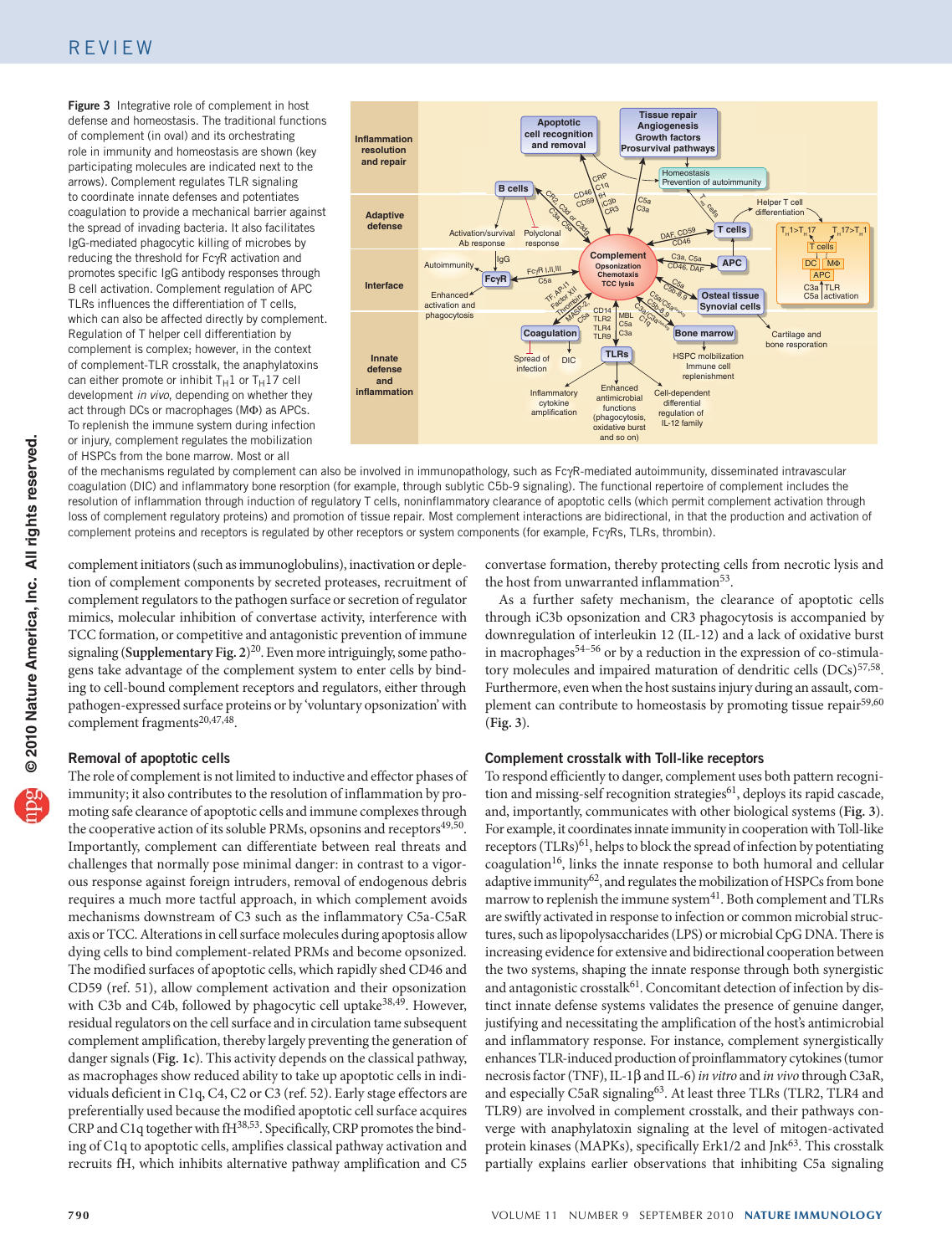Figure 3 Integrative role of complement in host defense and homeostasis. The traditional functions of complement (in oval) and its orchestrating role in immunity and homeostasis are shown (key participating molecules are indicated next to the arrows). Complement regulates TLR signaling to coordinate innate defenses and potentiates coagulation to provide a mechanical barrier against the spread of invading bacteria. It also facilitates IgG-mediated phagocytic killing of microbes by reducing the threshold for FcγR activation and promotes specific IgG antibody responses through B cell activation. Complement regulation of APC TLRs influences the differentiation of T cells, which can also be affected directly by complement. Regulation of T helper cell differentiation by complement is complex; however, in the context of complement-TLR crosstalk, the anaphylatoxins can either promote or inhibit  $T_H1$  or  $T_H17$  cell development *in vivo*, depending on whether they act through DCs or macrophages (MΦ) as APCs. To replenish the immune system during infection or injury, complement regulates the mobilization of HSPCs from the bone marrow. Most or all



of the mechanisms regulated by complement can also be involved in immunopathology, such as FcγR-mediated autoimmunity, disseminated intravascular coagulation (DIC) and inflammatory bone resorption (for example, through sublytic C5b-9 signaling). The functional repertoire of complement includes the resolution of inflammation through induction of regulatory T cells, noninflammatory clearance of apoptotic cells (which permit complement activation through loss of complement regulatory proteins) and promotion of tissue repair. Most complement interactions are bidirectional, in that the production and activation of complement proteins and receptors is regulated by other receptors or system components (for example, FcγRs, TLRs, thrombin).

complement initiators (such as immunoglobulins), inactivation or depletion of complement components by secreted proteases, recruitment of complement regulators to the pathogen surface or secretion of regulator mimics, molecular inhibition of convertase activity, interference with TCC formation, or competitive and antagonistic prevention of immune signaling (**Supplementary Fig. 2**)<sup>20</sup>. Even more intriguingly, some pathogens take advantage of the complement system to enter cells by binding to cell-bound complement receptors and regulators, either through pathogen-expressed surface proteins or by 'voluntary opsonization' with complement fragments<sup>20,47,48</sup>.

# Removal of apoptotic cells

The role of complement is not limited to inductive and effector phases of immunity; it also contributes to the resolution of inflammation by promoting safe clearance of apoptotic cells and immune complexes through the cooperative action of its soluble PRMs, opsonins and receptors $49,50$ . Importantly, complement can differentiate between real threats and challenges that normally pose minimal danger: in contrast to a vigorous response against foreign intruders, removal of endogenous debris requires a much more tactful approach, in which complement avoids mechanisms downstream of C3 such as the inflammatory C5a-C5aR axis or TCC. Alterations in cell surface molecules during apoptosis allow dying cells to bind complement-related PRMs and become opsonized. The modified surfaces of apoptotic cells, which rapidly shed CD46 and CD59 (ref. 51), allow complement activation and their opsonization with C3b and C4b, followed by phagocytic cell uptake<sup>38,49</sup>. However, residual regulators on the cell surface and in circulation tame subsequent complement amplification, thereby largely preventing the generation of danger signals (**Fig. 1c**). This activity depends on the classical pathway, as macrophages show reduced ability to take up apoptotic cells in individuals deficient in C1q, C4, C2 or C3 (ref. 52). Early stage effectors are preferentially used because the modified apoptotic cell surface acquires CRP and C1q together with fH38,53. Specifically, CRP promotes the binding of C1q to apoptotic cells, amplifies classical pathway activation and recruits fH, which inhibits alternative pathway amplification and C5

convertase formation, thereby protecting cells from necrotic lysis and the host from unwarranted inflammation<sup>53</sup>.

As a further safety mechanism, the clearance of apoptotic cells through iC3b opsonization and CR3 phagocytosis is accompanied by downregulation of interleukin 12 (IL-12) and a lack of oxidative burst in macrophages<sup>54–56</sup> or by a reduction in the expression of co-stimulatory molecules and impaired maturation of dendritic cells  $(DCs)^{57,58}$ . Furthermore, even when the host sustains injury during an assault, complement can contribute to homeostasis by promoting tissue repair<sup>59,60</sup> (**Fig. 3**).

#### Complement crosstalk with Toll-like receptors

To respond efficiently to danger, complement uses both pattern recognition and missing-self recognition strategies<sup>61</sup>, deploys its rapid cascade, and, importantly, communicates with other biological systems (**Fig. 3**). For example, it coordinates innate immunity in cooperation with Toll-like receptors (TLRs)<sup>61</sup>, helps to block the spread of infection by potentiating coagulation<sup>16</sup>, links the innate response to both humoral and cellular adaptive immunity<sup>62</sup>, and regulates the mobilization of HSPCs from bone marrow to replenish the immune system $41$ . Both complement and TLRs are swiftly activated in response to infection or common microbial structures, such as lipopolysaccharides (LPS) or microbial CpG DNA. There is increasing evidence for extensive and bidirectional cooperation between the two systems, shaping the innate response through both synergistic and antagonistic crosstalk<sup>61</sup>. Concomitant detection of infection by distinct innate defense systems validates the presence of genuine danger, justifying and necessitating the amplification of the host's antimicrobial and inflammatory response. For instance, complement synergistically enhances TLR-induced production of proinflammatory cytokines (tumor necrosis factor (TNF), IL-1β and IL-6) *in vitro* and *in vivo* through C3aR, and especially C5aR signaling<sup>63</sup>. At least three TLRs (TLR2, TLR4 and TLR9) are involved in complement crosstalk, and their pathways converge with anaphylatoxin signaling at the level of mitogen-activated protein kinases (MAPKs), specifically Erk1/2 and Jnk<sup>63</sup>. This crosstalk partially explains earlier observations that inhibiting C5a signaling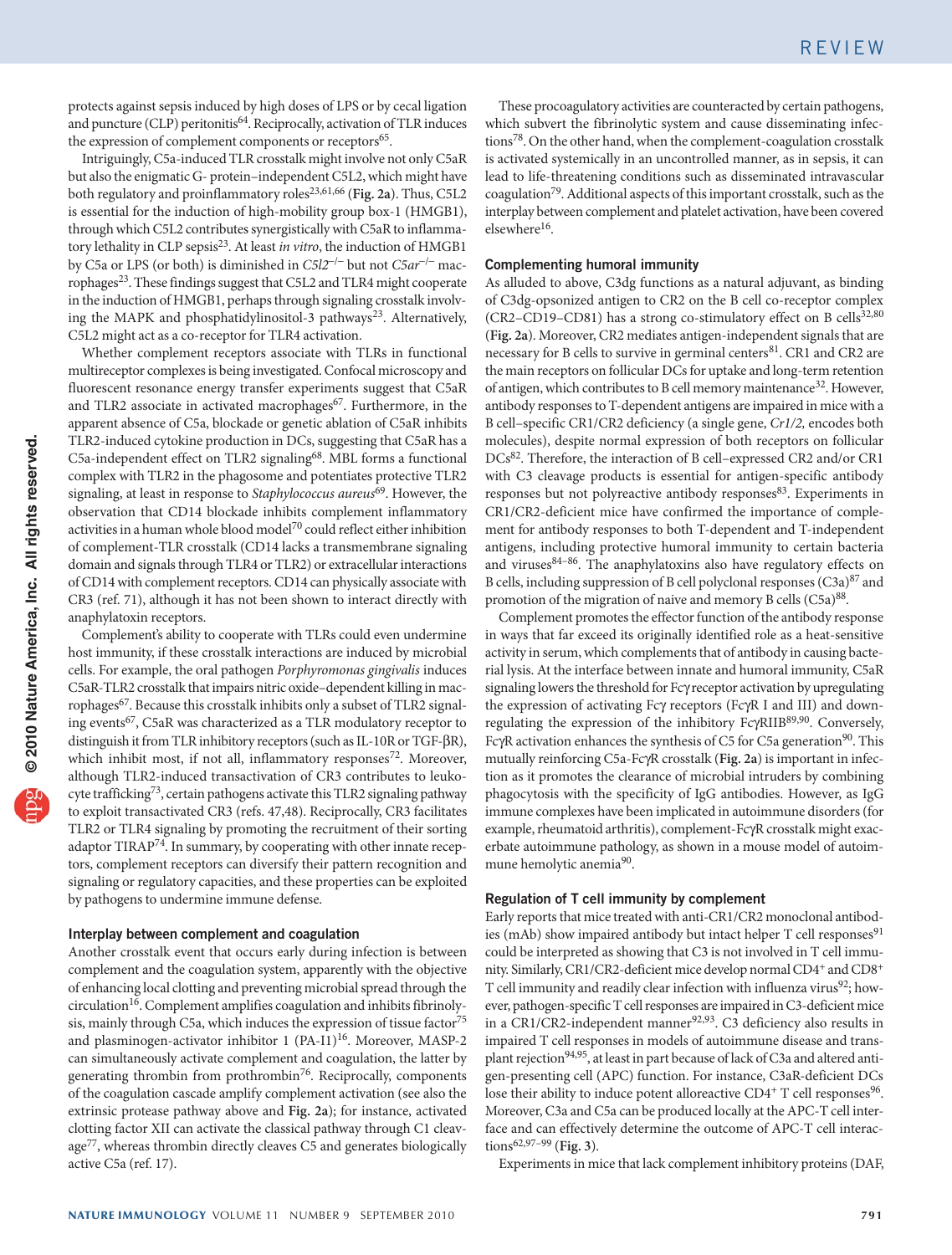protects against sepsis induced by high doses of LPS or by cecal ligation and puncture (CLP) peritonitis<sup>64</sup>. Reciprocally, activation of TLR induces the expression of complement components or receptors<sup>65</sup>.

Intriguingly, C5a-induced TLR crosstalk might involve not only C5aR but also the enigmatic G- protein–independent C5L2, which might have both regulatory and proinflammatory roles<sup>23,61,66</sup> (Fig. 2a). Thus, C5L2 is essential for the induction of high-mobility group box-1 (HMGB1), through which C5L2 contributes synergistically with C5aR to inflammatory lethality in CLP sepsis23. At least *in vitro*, the induction of HMGB1 by C5a or LPS (or both) is diminished in *C5l2*−/− but not *C5ar*−/− macrophages<sup>23</sup>. These findings suggest that C5L2 and TLR4 might cooperate in the induction of HMGB1, perhaps through signaling crosstalk involving the MAPK and phosphatidylinositol-3 pathways<sup>23</sup>. Alternatively, C5L2 might act as a co-receptor for TLR4 activation.

Whether complement receptors associate with TLRs in functional multireceptor complexes is being investigated. Confocal microscopy and fluorescent resonance energy transfer experiments suggest that C5aR and TLR2 associate in activated macrophages<sup>67</sup>. Furthermore, in the apparent absence of C5a, blockade or genetic ablation of C5aR inhibits TLR2-induced cytokine production in DCs, suggesting that C5aR has a C5a-independent effect on TLR2 signaling68. MBL forms a functional complex with TLR2 in the phagosome and potentiates protective TLR2 signaling, at least in response to *Staphylococcus aureus*69. However, the observation that CD14 blockade inhibits complement inflammatory activities in a human whole blood model<sup>70</sup> could reflect either inhibition of complement-TLR crosstalk (CD14 lacks a transmembrane signaling domain and signals through TLR4 or TLR2) or extracellular interactions of CD14 with complement receptors. CD14 can physically associate with CR3 (ref. 71), although it has not been shown to interact directly with anaphylatoxin receptors.

Complement's ability to cooperate with TLRs could even undermine host immunity, if these crosstalk interactions are induced by microbial cells. For example, the oral pathogen *Porphyromonas gingivalis* induces C5aR-TLR2 crosstalk that impairs nitric oxide–dependent killing in macrophages<sup>67</sup>. Because this crosstalk inhibits only a subset of TLR2 signaling events67, C5aR was characterized as a TLR modulatory receptor to distinguish it from TLR inhibitory receptors (such as IL-10R or TGF-βR), which inhibit most, if not all, inflammatory responses<sup>72</sup>. Moreover, although TLR2-induced transactivation of CR3 contributes to leukocyte trafficking<sup>73</sup>, certain pathogens activate this TLR2 signaling pathway to exploit transactivated CR3 (refs. 47,48). Reciprocally, CR3 facilitates TLR2 or TLR4 signaling by promoting the recruitment of their sorting adaptor TIRAP74. In summary, by cooperating with other innate receptors, complement receptors can diversify their pattern recognition and signaling or regulatory capacities, and these properties can be exploited by pathogens to undermine immune defense.

#### Interplay between complement and coagulation

Another crosstalk event that occurs early during infection is between complement and the coagulation system, apparently with the objective of enhancing local clotting and preventing microbial spread through the circulation<sup>16</sup>. Complement amplifies coagulation and inhibits fibrinolysis, mainly through C5a, which induces the expression of tissue factor<sup>75</sup> and plasminogen-activator inhibitor 1 (PA-I1)<sup>16</sup>. Moreover, MASP-2 can simultaneously activate complement and coagulation, the latter by generating thrombin from prothrombin76. Reciprocally, components of the coagulation cascade amplify complement activation (see also the extrinsic protease pathway above and **Fig. 2a**); for instance, activated clotting factor XII can activate the classical pathway through C1 cleavage<sup>77</sup>, whereas thrombin directly cleaves C5 and generates biologically active C5a (ref. 17).

These procoagulatory activities are counteracted by certain pathogens, which subvert the fibrinolytic system and cause disseminating infections<sup>78</sup>. On the other hand, when the complement-coagulation crosstalk is activated systemically in an uncontrolled manner, as in sepsis, it can lead to life-threatening conditions such as disseminated intravascular coagulation79. Additional aspects of this important crosstalk, such as the interplay between complement and platelet activation, have been covered elsewhere<sup>16</sup>.

# Complementing humoral immunity

As alluded to above, C3dg functions as a natural adjuvant, as binding of C3dg-opsonized antigen to CR2 on the B cell co-receptor complex (CR2–CD19–CD81) has a strong co-stimulatory effect on B cells $32,80$ (**Fig. 2a**). Moreover, CR2 mediates antigen-independent signals that are necessary for B cells to survive in germinal centers<sup>81</sup>. CR1 and CR2 are the main receptors on follicular DCs for uptake and long-term retention of antigen, which contributes to B cell memory maintenance<sup>32</sup>. However, antibody responses to T-dependent antigens are impaired in mice with a B cell–specific CR1/CR2 deficiency (a single gene, *Cr1/2,* encodes both molecules), despite normal expression of both receptors on follicular DCs82. Therefore, the interaction of B cell–expressed CR2 and/or CR1 with C3 cleavage products is essential for antigen-specific antibody responses but not polyreactive antibody responses<sup>83</sup>. Experiments in CR1/CR2-deficient mice have confirmed the importance of complement for antibody responses to both T-dependent and T-independent antigens, including protective humoral immunity to certain bacteria and viruses $84-86$ . The anaphylatoxins also have regulatory effects on B cells, including suppression of B cell polyclonal responses (C3a)<sup>87</sup> and promotion of the migration of naive and memory B cells (C5a)<sup>88</sup>.

Complement promotes the effector function of the antibody response in ways that far exceed its originally identified role as a heat-sensitive activity in serum, which complements that of antibody in causing bacterial lysis. At the interface between innate and humoral immunity, C5aR signaling lowers the threshold for Fcγ receptor activation by upregulating the expression of activating Fcγ receptors (FcγR I and III) and downregulating the expression of the inhibitory FcγRIIB89,90. Conversely, FcγR activation enhances the synthesis of C5 for C5a generation<sup>90</sup>. This mutually reinforcing C5a-FcγR crosstalk (**Fig. 2a**) is important in infection as it promotes the clearance of microbial intruders by combining phagocytosis with the specificity of IgG antibodies. However, as IgG immune complexes have been implicated in autoimmune disorders (for example, rheumatoid arthritis), complement-FcγR crosstalk might exacerbate autoimmune pathology, as shown in a mouse model of autoimmune hemolytic anemia<sup>90</sup>.

## Regulation of T cell immunity by complement

Early reports that mice treated with anti-CR1/CR2 monoclonal antibodies (mAb) show impaired antibody but intact helper T cell responses<sup>91</sup> could be interpreted as showing that C3 is not involved in T cell immunity. Similarly, CR1/CR2-deficient mice develop normal CD4<sup>+</sup> and CD8<sup>+</sup> T cell immunity and readily clear infection with influenza virus $92$ ; however, pathogen-specific T cell responses are impaired in C3-deficient mice in a CR1/CR2-independent manner<sup>92,93</sup>. C3 deficiency also results in impaired T cell responses in models of autoimmune disease and transplant rejection<sup>94,95</sup>, at least in part because of lack of C3a and altered antigen-presenting cell (APC) function. For instance, C3aR-deficient DCs lose their ability to induce potent alloreactive CD4<sup>+</sup> T cell responses<sup>96</sup>. Moreover, C3a and C5a can be produced locally at the APC-T cell interface and can effectively determine the outcome of APC-T cell interactions62,97–99 (**Fig. 3**).

Experiments in mice that lack complement inhibitory proteins (DAF,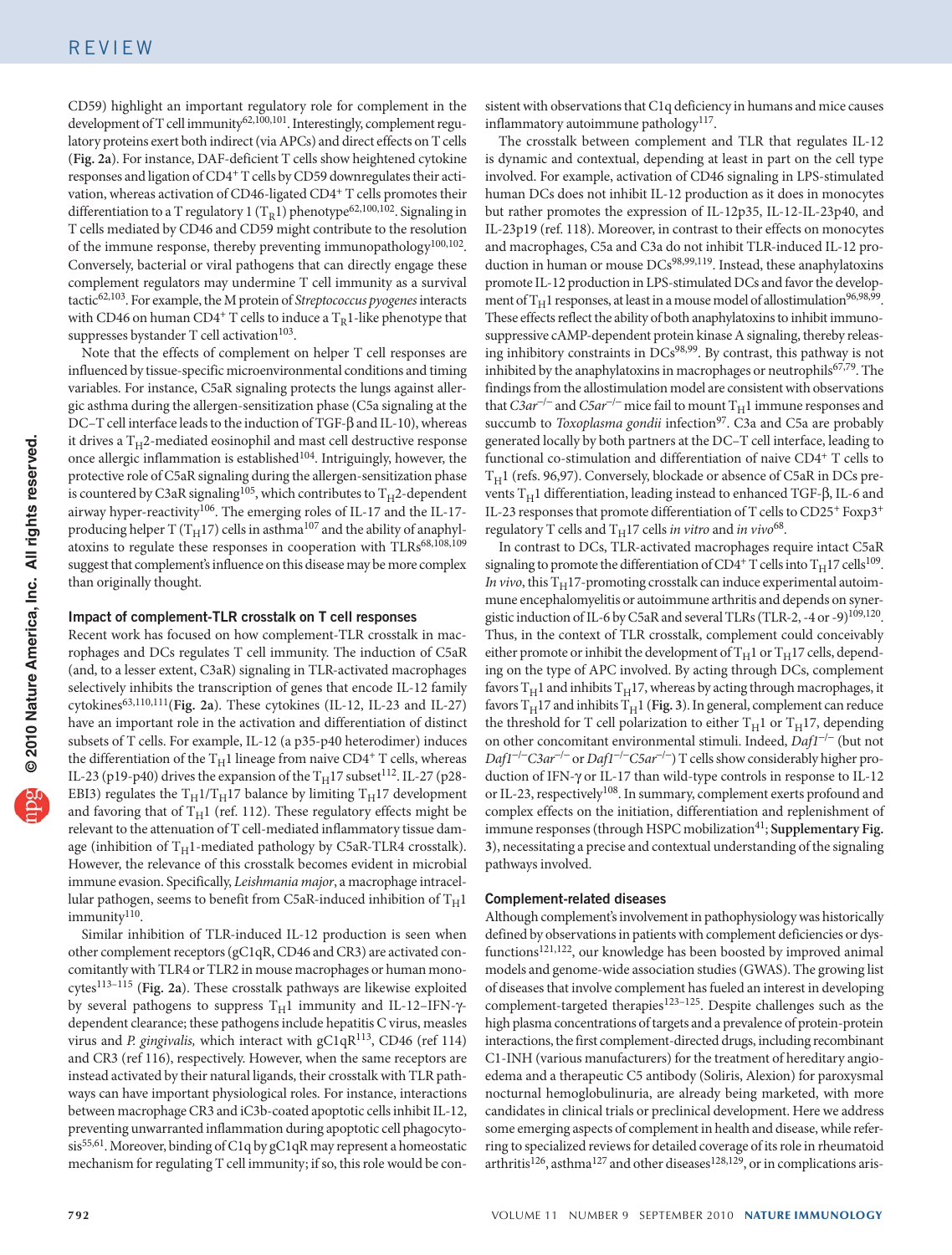CD59) highlight an important regulatory role for complement in the development of T cell immunity<sup>62,100,101</sup>. Interestingly, complement regulatory proteins exert both indirect (via APCs) and direct effects on T cells (**Fig. 2a**). For instance, DAF-deficient T cells show heightened cytokine responses and ligation of CD4+ T cells by CD59 downregulates their activation, whereas activation of CD46-ligated CD4+ T cells promotes their differentiation to a T regulatory 1 ( $T_R1$ ) phenotype<sup>62,100,102</sup>. Signaling in T cells mediated by CD46 and CD59 might contribute to the resolution of the immune response, thereby preventing immunopathology<sup>100,102</sup>. Conversely, bacterial or viral pathogens that can directly engage these complement regulators may undermine T cell immunity as a survival tactic62,103. For example, the M protein of *Streptococcus pyogenes* interacts with CD46 on human CD4<sup>+</sup> T cells to induce a  $T_R$ 1-like phenotype that suppresses bystander T cell activation $103$ .

Note that the effects of complement on helper T cell responses are influenced by tissue-specific microenvironmental conditions and timing variables. For instance, C5aR signaling protects the lungs against allergic asthma during the allergen-sensitization phase (C5a signaling at the DC–T cell interface leads to the induction of TGF-β and IL-10), whereas it drives a  $T_H$ 2-mediated eosinophil and mast cell destructive response once allergic inflammation is established<sup>104</sup>. Intriguingly, however, the protective role of C5aR signaling during the allergen-sensitization phase is countered by C3aR signaling<sup>105</sup>, which contributes to T<sub>H</sub>2-dependent airway hyper-reactivity  $^{106}\!.$  The emerging roles of IL-17 and the IL-17producing helper T (T<sub>H</sub>17) cells in asthma<sup>107</sup> and the ability of anaphylatoxins to regulate these responses in cooperation with TLRs68,108,109 suggest that complement's influence on this disease may be more complex than originally thought.

#### Impact of complement-TLR crosstalk on T cell responses

Recent work has focused on how complement-TLR crosstalk in macrophages and DCs regulates T cell immunity. The induction of C5aR (and, to a lesser extent, C3aR) signaling in TLR-activated macrophages selectively inhibits the transcription of genes that encode IL-12 family cytokines63,110,111(**Fig. 2a**). These cytokines (IL-12, IL-23 and IL-27) have an important role in the activation and differentiation of distinct subsets of T cells. For example, IL-12 (a p35-p40 heterodimer) induces the differentiation of the  $T_H1$  lineage from naive CD4<sup>+</sup> T cells, whereas IL-23 (p19-p40) drives the expansion of the T<sub>H</sub>17 subset<sup>112</sup>. IL-27 (p28-EBI3) regulates the  $T_H 1/T_H 17$  balance by limiting  $T_H 17$  development and favoring that of  $T_H1$  (ref. 112). These regulatory effects might be relevant to the attenuation of T cell-mediated inflammatory tissue damage (inhibition of  $T_H1$ -mediated pathology by C5aR-TLR4 crosstalk). However, the relevance of this crosstalk becomes evident in microbial immune evasion. Specifically, *Leishmania major*, a macrophage intracellular pathogen, seems to benefit from C5aR-induced inhibition of  $T_H1$  $immunity<sup>110</sup>$ .

Similar inhibition of TLR-induced IL-12 production is seen when other complement receptors (gC1qR, CD46 and CR3) are activated concomitantly with TLR4 or TLR2 in mouse macrophages or human monocytes113–115 (**Fig. 2a**). These crosstalk pathways are likewise exploited by several pathogens to suppress  $T_H1$  immunity and IL-12–IFN- $\gamma$ dependent clearance; these pathogens include hepatitis C virus, measles virus and *P. gingivalis,* which interact with gC1qR113, CD46 (ref 114) and CR3 (ref 116), respectively. However, when the same receptors are instead activated by their natural ligands, their crosstalk with TLR pathways can have important physiological roles. For instance, interactions between macrophage CR3 and iC3b-coated apoptotic cells inhibit IL-12, preventing unwarranted inflammation during apoptotic cell phagocytosis<sup>55,61</sup>. Moreover, binding of C1q by gC1qR may represent a homeostatic mechanism for regulating T cell immunity; if so, this role would be consistent with observations that C1q deficiency in humans and mice causes inflammatory autoimmune pathology<sup>117</sup>.

The crosstalk between complement and TLR that regulates IL-12 is dynamic and contextual, depending at least in part on the cell type involved. For example, activation of CD46 signaling in LPS-stimulated human DCs does not inhibit IL-12 production as it does in monocytes but rather promotes the expression of IL-12p35, IL-12-IL-23p40, and IL-23p19 (ref. 118). Moreover, in contrast to their effects on monocytes and macrophages, C5a and C3a do not inhibit TLR-induced IL-12 production in human or mouse DCs<sup>98,99,119</sup>. Instead, these anaphylatoxins promote IL-12 production in LPS-stimulated DCs and favor the development of  $T_H1$  responses, at least in a mouse model of allostimulation<sup>96,98,99</sup>. These effects reflect the ability of both anaphylatoxins to inhibit immunosuppressive cAMP-dependent protein kinase A signaling, thereby releasing inhibitory constraints in DCs<sup>98,99</sup>. By contrast, this pathway is not inhibited by the anaphylatoxins in macrophages or neutrophils<sup>67,79</sup>. The findings from the allostimulation model are consistent with observations that *C3ar<sup>-/−</sup>* and *C5ar<sup>-/−</sup>* mice fail to mount  $T_H1$  immune responses and succumb to *Toxoplasma gondii* infection<sup>97</sup>. C3a and C5a are probably generated locally by both partners at the DC–T cell interface, leading to functional co-stimulation and differentiation of naive CD4+ T cells to  $T_H1$  (refs. 96,97). Conversely, blockade or absence of C5aR in DCs prevents  $T_H$ 1 differentiation, leading instead to enhanced TGF-β, IL-6 and IL-23 responses that promote differentiation of T cells to CD25<sup>+</sup> Foxp3<sup>+</sup> regulatory T cells and  $T_H$ 17 cells *in vitro* and *in vivo*<sup>68</sup>.

In contrast to DCs, TLR-activated macrophages require intact C5aR signaling to promote the differentiation of  $CD4^+$  T cells into  $T_H17$  cells<sup>109</sup>. *In vivo*, this  $T_H$ 17-promoting crosstalk can induce experimental autoimmune encephalomyelitis or autoimmune arthritis and depends on synergistic induction of IL-6 by C5aR and several TLRs (TLR-2, -4 or -9)<sup>109,120</sup>. Thus, in the context of TLR crosstalk, complement could conceivably either promote or inhibit the development of  $T_H1$  or  $T_H17$  cells, depending on the type of APC involved. By acting through DCs, complement favors  $T_H1$  and inhibits  $T_H17$ , whereas by acting through macrophages, it favors  $T_H$ 17 and inhibits  $T_H$ 1 (Fig. 3). In general, complement can reduce the threshold for T cell polarization to either  $T_H1$  or  $T_H17$ , depending on other concomitant environmental stimuli. Indeed, *Daf1*−/− (but not *Daf1*−/−*C3ar*−/− or *Daf1*−/−*C5ar*−/−) T cells show considerably higher production of IFN-γ or IL-17 than wild-type controls in response to IL-12 or IL-23, respectively<sup>108</sup>. In summary, complement exerts profound and complex effects on the initiation, differentiation and replenishment of immune responses (through HSPC mobilization<sup>41</sup>; Supplementary Fig. **3**), necessitating a precise and contextual understanding of the signaling pathways involved.

## Complement-related diseases

Although complement's involvement in pathophysiology was historically defined by observations in patients with complement deficiencies or dysfunctions121,122, our knowledge has been boosted by improved animal models and genome-wide association studies (GWAS). The growing list of diseases that involve complement has fueled an interest in developing complement-targeted therapies<sup>123-125</sup>. Despite challenges such as the high plasma concentrations of targets and a prevalence of protein-protein interactions, the first complement-directed drugs, including recombinant C1-INH (various manufacturers) for the treatment of hereditary angioedema and a therapeutic C5 antibody (Soliris, Alexion) for paroxysmal nocturnal hemoglobulinuria, are already being marketed, with more candidates in clinical trials or preclinical development. Here we address some emerging aspects of complement in health and disease, while referring to specialized reviews for detailed coverage of its role in rheumatoid arthritis<sup>126</sup>, asthma<sup>127</sup> and other diseases<sup>128,129</sup>, or in complications aris-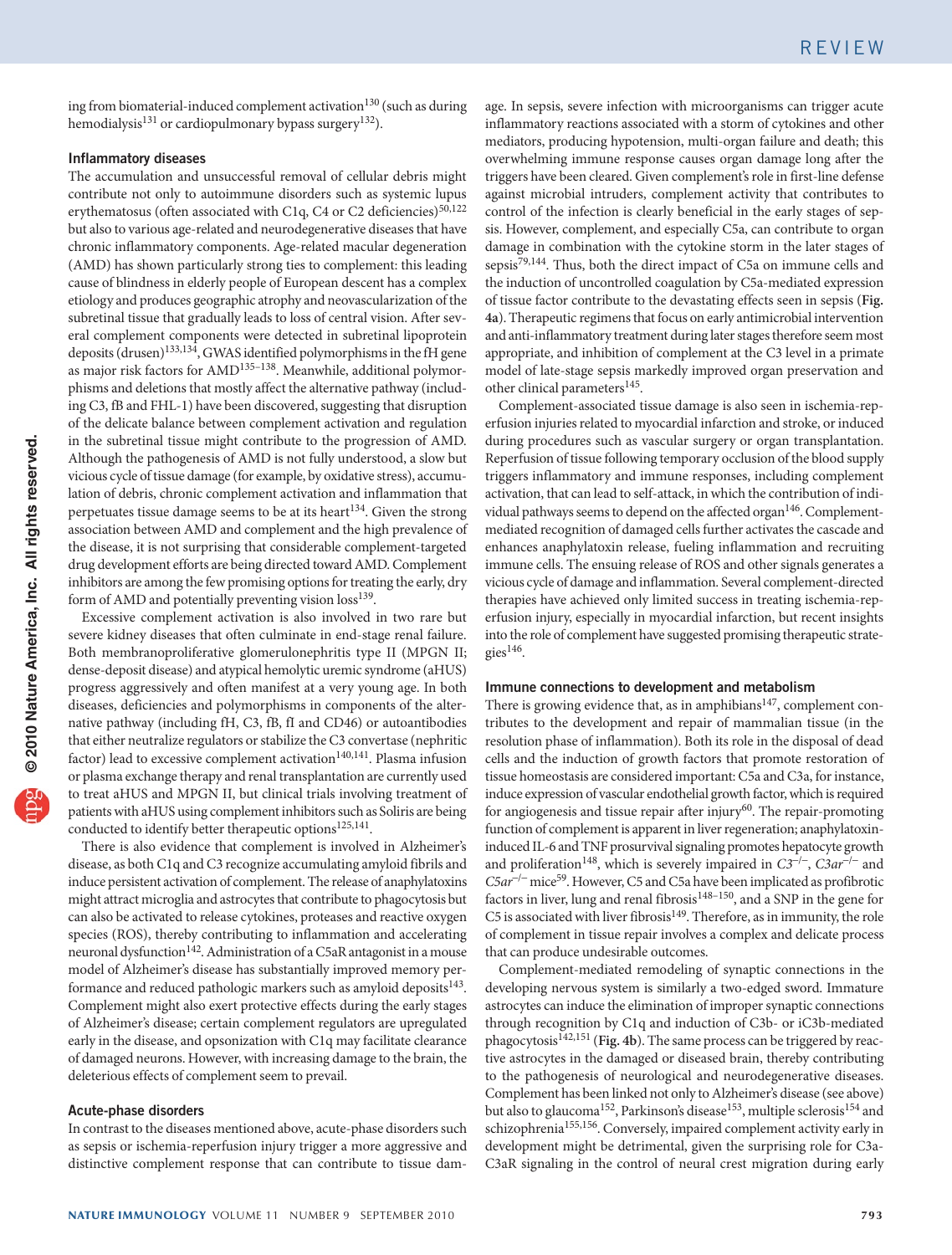ing from biomaterial-induced complement activation $130$  (such as during hemodialysis<sup>131</sup> or cardiopulmonary bypass surgery<sup>132</sup>).

## Inflammatory diseases

The accumulation and unsuccessful removal of cellular debris might contribute not only to autoimmune disorders such as systemic lupus erythematosus (often associated with C1q, C4 or C2 deficiencies) $50,122$ but also to various age-related and neurodegenerative diseases that have chronic inflammatory components. Age-related macular degeneration (AMD) has shown particularly strong ties to complement: this leading cause of blindness in elderly people of European descent has a complex etiology and produces geographic atrophy and neovascularization of the subretinal tissue that gradually leads to loss of central vision. After several complement components were detected in subretinal lipoprotein deposits (drusen)<sup>133,134</sup>, GWAS identified polymorphisms in the fH gene as major risk factors for AMD135–138. Meanwhile, additional polymorphisms and deletions that mostly affect the alternative pathway (including C3, fB and FHL-1) have been discovered, suggesting that disruption of the delicate balance between complement activation and regulation in the subretinal tissue might contribute to the progression of AMD. Although the pathogenesis of AMD is not fully understood, a slow but vicious cycle of tissue damage (for example, by oxidative stress), accumulation of debris, chronic complement activation and inflammation that perpetuates tissue damage seems to be at its heart<sup>134</sup>. Given the strong association between AMD and complement and the high prevalence of the disease, it is not surprising that considerable complement-targeted drug development efforts are being directed toward AMD. Complement inhibitors are among the few promising options for treating the early, dry form of AMD and potentially preventing vision loss<sup>139</sup>.

Excessive complement activation is also involved in two rare but severe kidney diseases that often culminate in end-stage renal failure. Both membranoproliferative glomerulonephritis type II (MPGN II; dense-deposit disease) and atypical hemolytic uremic syndrome (aHUS) progress aggressively and often manifest at a very young age. In both diseases, deficiencies and polymorphisms in components of the alternative pathway (including fH, C3, fB, fI and CD46) or autoantibodies that either neutralize regulators or stabilize the C3 convertase (nephritic factor) lead to excessive complement activation<sup>140,141</sup>. Plasma infusion or plasma exchange therapy and renal transplantation are currently used to treat aHUS and MPGN II, but clinical trials involving treatment of patients with aHUS using complement inhibitors such as Soliris are being conducted to identify better therapeutic options<sup>125,141</sup>.

There is also evidence that complement is involved in Alzheimer's disease, as both C1q and C3 recognize accumulating amyloid fibrils and induce persistent activation of complement. The release of anaphylatoxins might attract microglia and astrocytes that contribute to phagocytosis but can also be activated to release cytokines, proteases and reactive oxygen species (ROS), thereby contributing to inflammation and accelerating neuronal dysfunction<sup>142</sup>. Administration of a C5aR antagonist in a mouse model of Alzheimer's disease has substantially improved memory performance and reduced pathologic markers such as amyloid deposits<sup>143</sup>. Complement might also exert protective effects during the early stages of Alzheimer's disease; certain complement regulators are upregulated early in the disease, and opsonization with C1q may facilitate clearance of damaged neurons. However, with increasing damage to the brain, the deleterious effects of complement seem to prevail.

# Acute-phase disorders

In contrast to the diseases mentioned above, acute-phase disorders such as sepsis or ischemia-reperfusion injury trigger a more aggressive and distinctive complement response that can contribute to tissue damage. In sepsis, severe infection with microorganisms can trigger acute inflammatory reactions associated with a storm of cytokines and other mediators, producing hypotension, multi-organ failure and death; this overwhelming immune response causes organ damage long after the triggers have been cleared. Given complement's role in first-line defense against microbial intruders, complement activity that contributes to control of the infection is clearly beneficial in the early stages of sepsis. However, complement, and especially C5a, can contribute to organ damage in combination with the cytokine storm in the later stages of sepsis<sup>79,144</sup>. Thus, both the direct impact of C5a on immune cells and the induction of uncontrolled coagulation by C5a-mediated expression of tissue factor contribute to the devastating effects seen in sepsis (**Fig. 4a**). Therapeutic regimens that focus on early antimicrobial intervention and anti-inflammatory treatment during later stages therefore seem most appropriate, and inhibition of complement at the C3 level in a primate model of late-stage sepsis markedly improved organ preservation and other clinical parameters<sup>145</sup>.

Complement-associated tissue damage is also seen in ischemia-reperfusion injuries related to myocardial infarction and stroke, or induced during procedures such as vascular surgery or organ transplantation. Reperfusion of tissue following temporary occlusion of the blood supply triggers inflammatory and immune responses, including complement activation, that can lead to self-attack, in which the contribution of individual pathways seems to depend on the affected organ<sup>146</sup>. Complementmediated recognition of damaged cells further activates the cascade and enhances anaphylatoxin release, fueling inflammation and recruiting immune cells. The ensuing release of ROS and other signals generates a vicious cycle of damage and inflammation. Several complement-directed therapies have achieved only limited success in treating ischemia-reperfusion injury, especially in myocardial infarction, but recent insights into the role of complement have suggested promising therapeutic strategies<sup>146</sup>.

#### Immune connections to development and metabolism

There is growing evidence that, as in amphibians $147$ , complement contributes to the development and repair of mammalian tissue (in the resolution phase of inflammation). Both its role in the disposal of dead cells and the induction of growth factors that promote restoration of tissue homeostasis are considered important: C5a and C3a, for instance, induce expression of vascular endothelial growth factor, which is required for angiogenesis and tissue repair after injury<sup>60</sup>. The repair-promoting function of complement is apparent in liver regeneration; anaphylatoxininduced IL-6 and TNF prosurvival signaling promotes hepatocyte growth and proliferation148, which is severely impaired in *C3*−/−, *C3ar*−/− and *C5ar<sup>-/−</sup>* mice<sup>59</sup>. However, C5 and C5a have been implicated as profibrotic factors in liver, lung and renal fibrosis<sup>148-150</sup>, and a SNP in the gene for C5 is associated with liver fibrosis<sup>149</sup>. Therefore, as in immunity, the role of complement in tissue repair involves a complex and delicate process that can produce undesirable outcomes.

Complement-mediated remodeling of synaptic connections in the developing nervous system is similarly a two-edged sword. Immature astrocytes can induce the elimination of improper synaptic connections through recognition by C1q and induction of C3b- or iC3b-mediated phagocytosis<sup>142,151</sup> (Fig. 4b). The same process can be triggered by reactive astrocytes in the damaged or diseased brain, thereby contributing to the pathogenesis of neurological and neurodegenerative diseases. Complement has been linked not only to Alzheimer's disease (see above) but also to glaucoma<sup>152</sup>, Parkinson's disease<sup>153</sup>, multiple sclerosis<sup>154</sup> and schizophrenia<sup>155,156</sup>. Conversely, impaired complement activity early in development might be detrimental, given the surprising role for C3a-C3aR signaling in the control of neural crest migration during early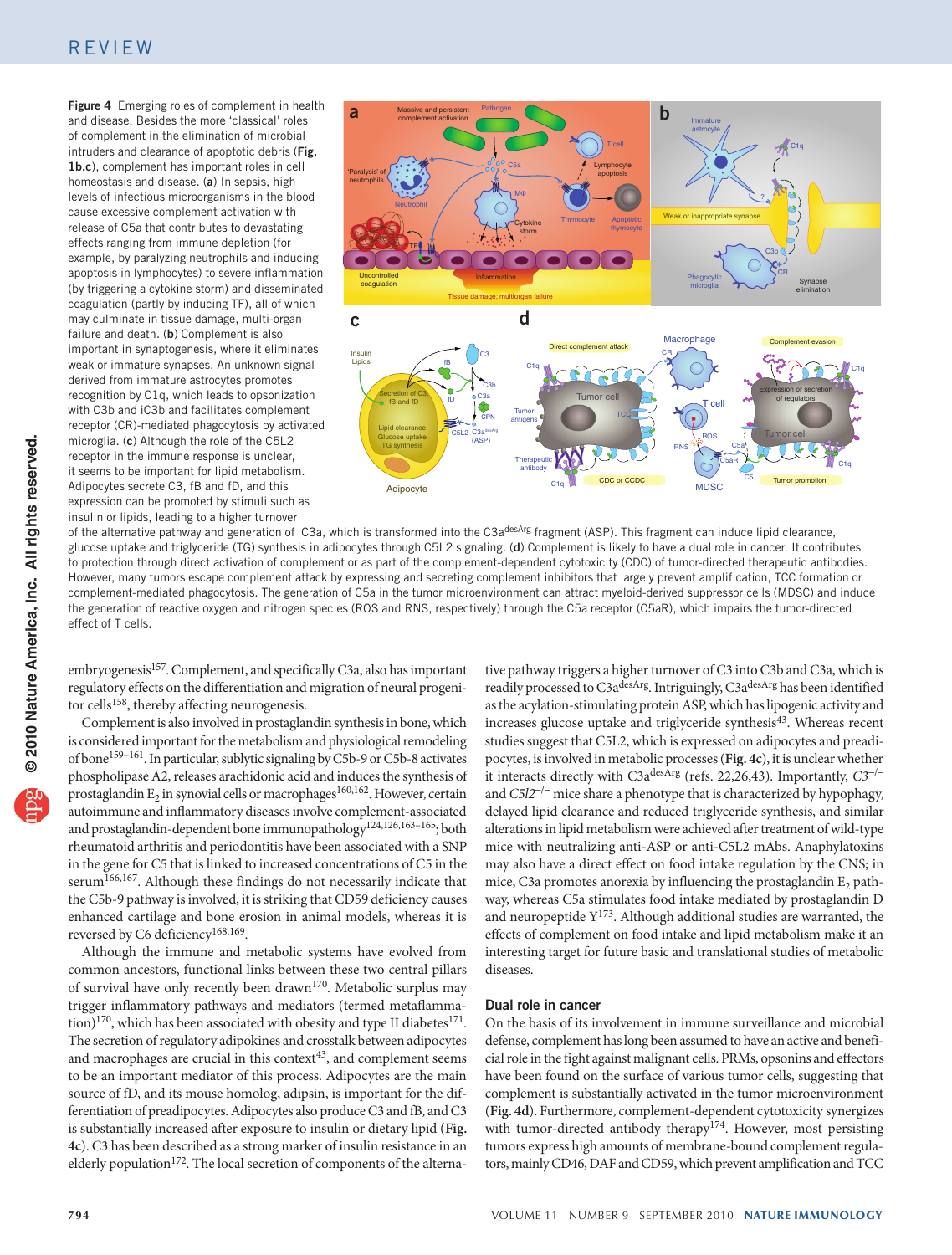Figure 4 Emerging roles of complement in health and disease. Besides the more 'classical' roles of complement in the elimination of microbial intruders and clearance of apoptotic debris (Fig. 1b,c), complement has important roles in cell homeostasis and disease. (a) In sepsis, high levels of infectious microorganisms in the blood cause excessive complement activation with release of C5a that contributes to devastating effects ranging from immune depletion (for example, by paralyzing neutrophils and inducing apoptosis in lymphocytes) to severe inflammation (by triggering a cytokine storm) and disseminated coagulation (partly by inducing TF), all of which may culminate in tissue damage, multi-organ failure and death. (b) Complement is also important in synaptogenesis, where it eliminates weak or immature synapses. An unknown signal derived from immature astrocytes promotes recognition by C1q, which leads to opsonization with C3b and iC3b and facilitates complement receptor (CR)-mediated phagocytosis by activated microglia. (c) Although the role of the C5L2 receptor in the immune response is unclear, it seems to be important for lipid metabolism. Adipocytes secrete C3, fB and fD, and this expression can be promoted by stimuli such as insulin or lipids, leading to a higher turnover



of the alternative pathway and generation of C3a, which is transformed into the C3a<sup>desArg</sup> fragment (ASP). This fragment can induce lipid clearance, glucose uptake and triglyceride (TG) synthesis in adipocytes through C5L2 signaling. (d) Complement is likely to have a dual role in cancer. It contributes to protection through direct activation of complement or as part of the complement-dependent cytotoxicity (CDC) of tumor-directed therapeutic antibodies. However, many tumors escape complement attack by expressing and secreting complement inhibitors that largely prevent amplification, TCC formation or complement-mediated phagocytosis. The generation of C5a in the tumor microenvironment can attract myeloid-derived suppressor cells (MDSC) and induce the generation of reactive oxygen and nitrogen species (ROS and RNS, respectively) through the C5a receptor (C5aR), which impairs the tumor-directed effect of T cells.

embryogenesis<sup>157</sup>. Complement, and specifically C3a, also has important regulatory effects on the differentiation and migration of neural progenitor cells<sup>158</sup>, thereby affecting neurogenesis.

Complement is also involved in prostaglandin synthesis in bone, which is considered important for the metabolism and physiological remodeling of bone159–161. In particular, sublytic signaling by C5b-9 or C5b-8 activates phospholipase A2, releases arachidonic acid and induces the synthesis of prostaglandin  $\mathrm{E}_2$  in synovial cells or macrophages  $^{160,162}$ . However, certain autoimmune and inflammatory diseases involve complement-associated and prostaglandin-dependent bone immunopathology<sup>124,126,163-165</sup>; both rheumatoid arthritis and periodontitis have been associated with a SNP in the gene for C5 that is linked to increased concentrations of C5 in the serum<sup>166,167</sup>. Although these findings do not necessarily indicate that the C5b-9 pathway is involved, it is striking that CD59 deficiency causes enhanced cartilage and bone erosion in animal models, whereas it is reversed by C6 deficiency<sup>168,169</sup>.

Although the immune and metabolic systems have evolved from common ancestors, functional links between these two central pillars of survival have only recently been drawn<sup>170</sup>. Metabolic surplus may trigger inflammatory pathways and mediators (termed metaflammation)<sup>170</sup>, which has been associated with obesity and type II diabetes<sup>171</sup>. The secretion of regulatory adipokines and crosstalk between adipocytes and macrophages are crucial in this context $43$ , and complement seems to be an important mediator of this process. Adipocytes are the main source of fD, and its mouse homolog, adipsin, is important for the differentiation of preadipocytes. Adipocytes also produce C3 and fB, and C3 is substantially increased after exposure to insulin or dietary lipid (**Fig. 4c**). C3 has been described as a strong marker of insulin resistance in an elderly population<sup>172</sup>. The local secretion of components of the alterna-

tive pathway triggers a higher turnover of C3 into C3b and C3a, which is readily processed to C3adesArg. Intriguingly, C3a<sup>desArg</sup> has been identified as the acylation-stimulating protein ASP, which has lipogenic activity and increases glucose uptake and triglyceride synthesis<sup>43</sup>. Whereas recent studies suggest that C5L2, which is expressed on adipocytes and preadipocytes, is involved in metabolic processes (**Fig. 4c**), it is unclear whether it interacts directly with C3adesArg (refs. 22,26,43). Importantly, *C3*−/<sup>−</sup> and *C5l2*−/− mice share a phenotype that is characterized by hypophagy, delayed lipid clearance and reduced triglyceride synthesis, and similar alterations in lipid metabolism were achieved after treatment of wild-type mice with neutralizing anti-ASP or anti-C5L2 mAbs. Anaphylatoxins may also have a direct effect on food intake regulation by the CNS; in mice, C3a promotes anorexia by influencing the prostaglandin  $E<sub>2</sub>$  pathway, whereas C5a stimulates food intake mediated by prostaglandin D and neuropeptide  $Y^{173}$ . Although additional studies are warranted, the effects of complement on food intake and lipid metabolism make it an interesting target for future basic and translational studies of metabolic diseases.

# Dual role in cancer

On the basis of its involvement in immune surveillance and microbial defense, complement has long been assumed to have an active and beneficial role in the fight against malignant cells. PRMs, opsonins and effectors have been found on the surface of various tumor cells, suggesting that complement is substantially activated in the tumor microenvironment (**Fig. 4d**). Furthermore, complement-dependent cytotoxicity synergizes with tumor-directed antibody therapy<sup>174</sup>. However, most persisting tumors express high amounts of membrane-bound complement regulators, mainly CD46, DAF and CD59, which prevent amplification and TCC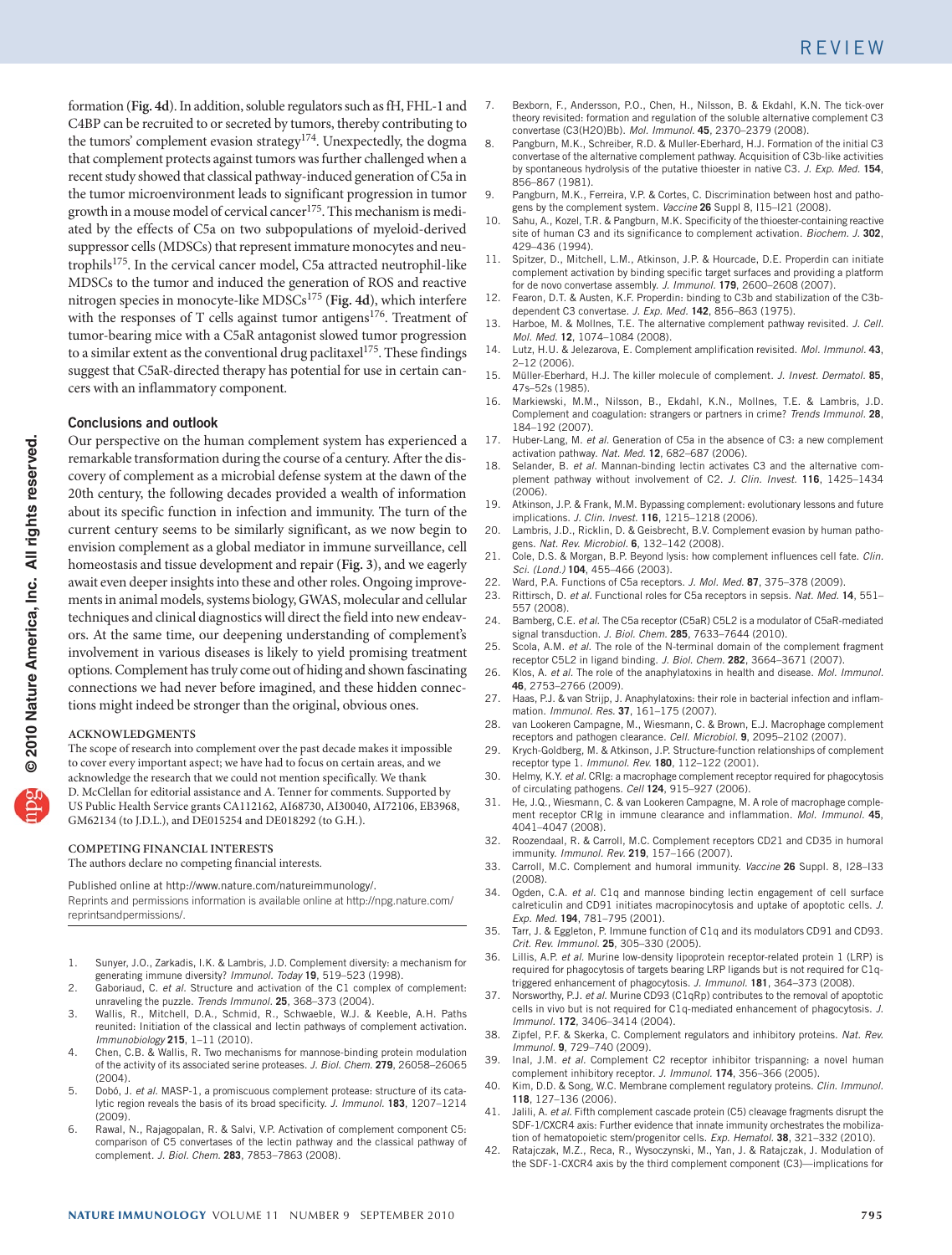formation (**Fig. 4d**). In addition, soluble regulators such as fH, FHL-1 and C4BP can be recruited to or secreted by tumors, thereby contributing to the tumors' complement evasion strategy174. Unexpectedly, the dogma that complement protects against tumors was further challenged when a recent study showed that classical pathway-induced generation of C5a in the tumor microenvironment leads to significant progression in tumor growth in a mouse model of cervical cancer<sup>175</sup>. This mechanism is mediated by the effects of C5a on two subpopulations of myeloid-derived suppressor cells (MDSCs) that represent immature monocytes and neutrophils175. In the cervical cancer model, C5a attracted neutrophil-like MDSCs to the tumor and induced the generation of ROS and reactive nitrogen species in monocyte-like MDSCs175 (**Fig. 4d**), which interfere with the responses of  $T$  cells against tumor antigens<sup>176</sup>. Treatment of tumor-bearing mice with a C5aR antagonist slowed tumor progression to a similar extent as the conventional drug paclitaxel<sup>175</sup>. These findings suggest that C5aR-directed therapy has potential for use in certain cancers with an inflammatory component.

## Conclusions and outlook

Our perspective on the human complement system has experienced a remarkable transformation during the course of a century. After the discovery of complement as a microbial defense system at the dawn of the 20th century, the following decades provided a wealth of information about its specific function in infection and immunity. The turn of the current century seems to be similarly significant, as we now begin to envision complement as a global mediator in immune surveillance, cell homeostasis and tissue development and repair (**Fig. 3**), and we eagerly await even deeper insights into these and other roles. Ongoing improvements in animal models, systems biology, GWAS, molecular and cellular techniques and clinical diagnostics will direct the field into new endeavors. At the same time, our deepening understanding of complement's involvement in various diseases is likely to yield promising treatment options. Complement has truly come out of hiding and shown fascinating connections we had never before imagined, and these hidden connections might indeed be stronger than the original, obvious ones.

#### **ACKNOWLEDGMENTS**

The scope of research into complement over the past decade makes it impossible to cover every important aspect; we have had to focus on certain areas, and we acknowledge the research that we could not mention specifically. We thank D. McClellan for editorial assistance and A. Tenner for comments. Supported by US Public Health Service grants CA112162, AI68730, AI30040, AI72106, EB3968, GM62134 (to J.D.L.), and DE015254 and DE018292 (to G.H.).

#### **COMPETING FINANCIAL INTERESTS**

The authors declare no competing financial interests.

Published online at http://www.nature.com/natureimmunology/.

Reprints and permissions information is available online at http://npg.nature.com/ reprintsandpermissions/.

- 1. Sunyer, J.O., Zarkadis, I.K. & Lambris, J.D. Complement diversity: a mechanism for generating immune diversity? *Immunol. Today* **19**, 519–523 (1998).
- 2. Gaboriaud, C. *et al.* Structure and activation of the C1 complex of complement: unraveling the puzzle. *Trends Immunol.* **25**, 368–373 (2004).
- 3. Wallis, R., Mitchell, D.A., Schmid, R., Schwaeble, W.J. & Keeble, A.H. Paths reunited: Initiation of the classical and lectin pathways of complement activation. *Immunobiology* **215**, 1–11 (2010).
- 4. Chen, C.B. & Wallis, R. Two mechanisms for mannose-binding protein modulation of the activity of its associated serine proteases. *J. Biol. Chem.* **279**, 26058–26065 (2004).
- 5. Dobó, J. *et al.* MASP-1, a promiscuous complement protease: structure of its catalytic region reveals the basis of its broad specificity. *J. Immunol.* **183**, 1207–1214 (2009).
- 6. Rawal, N., Rajagopalan, R. & Salvi, V.P. Activation of complement component C5: comparison of C5 convertases of the lectin pathway and the classical pathway of complement. *J. Biol. Chem.* **283**, 7853–7863 (2008).
- 7. Bexborn, F., Andersson, P.O., Chen, H., Nilsson, B. & Ekdahl, K.N. The tick-over theory revisited: formation and regulation of the soluble alternative complement C3 convertase (C3(H2O)Bb). *Mol. Immunol.* **45**, 2370–2379 (2008).
- 8. Pangburn, M.K., Schreiber, R.D. & Muller-Eberhard, H.J. Formation of the initial C3 convertase of the alternative complement pathway. Acquisition of C3b-like activities by spontaneous hydrolysis of the putative thioester in native C3. *J. Exp. Med.* **154**, 856–867 (1981).
- 9. Pangburn, M.K., Ferreira, V.P. & Cortes, C. Discrimination between host and pathogens by the complement system. *Vaccine* **26** Suppl 8, I15–I21 (2008).
- 10. Sahu, A., Kozel, T.R. & Pangburn, M.K. Specificity of the thioester-containing reactive site of human C3 and its significance to complement activation. *Biochem. J.* **302**, 429–436 (1994).
- 11. Spitzer, D., Mitchell, L.M., Atkinson, J.P. & Hourcade, D.E. Properdin can initiate complement activation by binding specific target surfaces and providing a platform for de novo convertase assembly. *J. Immunol.* **179**, 2600–2608 (2007).
- 12. Fearon, D.T. & Austen, K.F. Properdin: binding to C3b and stabilization of the C3bdependent C3 convertase. *J. Exp. Med.* **142**, 856–863 (1975).
- 13. Harboe, M. & Mollnes, T.E. The alternative complement pathway revisited. *J. Cell. Mol. Med.* **12**, 1074–1084 (2008).
- 14. Lutz, H.U. & Jelezarova, E. Complement amplification revisited. *Mol. Immunol.* **43**, 2–12 (2006).
- 15. Müller-Eberhard, H.J. The killer molecule of complement. *J. Invest. Dermatol.* **85**, 47s–52s (1985).
- 16. Markiewski, M.M., Nilsson, B., Ekdahl, K.N., Mollnes, T.E. & Lambris, J.D. Complement and coagulation: strangers or partners in crime? *Trends Immunol.* **28**, 184–192 (2007).
- 17. Huber-Lang, M. *et al.* Generation of C5a in the absence of C3: a new complement activation pathway. *Nat. Med.* **12**, 682–687 (2006).
- 18. Selander, B. *et al.* Mannan-binding lectin activates C3 and the alternative complement pathway without involvement of C2. *J. Clin. Invest.* **116**, 1425–1434 (2006).
- 19. Atkinson, J.P. & Frank, M.M. Bypassing complement: evolutionary lessons and future implications. *J. Clin. Invest.* **116**, 1215–1218 (2006).
- 20. Lambris, J.D., Ricklin, D. & Geisbrecht, B.V. Complement evasion by human pathogens. *Nat. Rev. Microbiol.* **6**, 132–142 (2008).
- 21. Cole, D.S. & Morgan, B.P. Beyond lysis: how complement influences cell fate. *Clin. Sci. (Lond.)* **104**, 455–466 (2003).
- 22. Ward, P.A. Functions of C5a receptors. *J. Mol. Med.* **87**, 375–378 (2009).
- 23. Rittirsch, D. *et al.* Functional roles for C5a receptors in sepsis. *Nat. Med.* **14**, 551– 557 (2008).
- 24. Bamberg, C.E. *et al.* The C5a receptor (C5aR) C5L2 is a modulator of C5aR-mediated signal transduction. *J. Biol. Chem.* **285**, 7633–7644 (2010).
- 25. Scola, A.M. *et al.* The role of the N-terminal domain of the complement fragment receptor C5L2 in ligand binding. *J. Biol. Chem.* **282**, 3664–3671 (2007).
- 26. Klos, A. *et al.* The role of the anaphylatoxins in health and disease. *Mol. Immunol.* **46**, 2753–2766 (2009).
- 27. Haas, P.J. & van Strijp, J. Anaphylatoxins: their role in bacterial infection and inflammation. *Immunol. Res.* **37**, 161–175 (2007).
- 28. van Lookeren Campagne, M., Wiesmann, C. & Brown, E.J. Macrophage complement receptors and pathogen clearance. *Cell. Microbiol.* **9**, 2095–2102 (2007).
- 29. Krych-Goldberg, M. & Atkinson, J.P. Structure-function relationships of complement receptor type 1. *Immunol. Rev.* **180**, 112–122 (2001).
- 30. Helmy, K.Y. *et al.* CRIg: a macrophage complement receptor required for phagocytosis of circulating pathogens. *Cell* **124**, 915–927 (2006).
- 31. He, J.Q., Wiesmann, C. & van Lookeren Campagne, M. A role of macrophage complement receptor CRIg in immune clearance and inflammation. *Mol. Immunol.* **45**, 4041–4047 (2008).
- 32. Roozendaal, R. & Carroll, M.C. Complement receptors CD21 and CD35 in humoral immunity. *Immunol. Rev.* **219**, 157–166 (2007).
- 33. Carroll, M.C. Complement and humoral immunity. *Vaccine* **26** Suppl. 8, I28–I33 (2008).
- 34. Ogden, C.A. *et al.* C1q and mannose binding lectin engagement of cell surface calreticulin and CD91 initiates macropinocytosis and uptake of apoptotic cells. *J. Exp. Med.* **194**, 781–795 (2001).
- 35. Tarr, J. & Eggleton, P. Immune function of C1q and its modulators CD91 and CD93. *Crit. Rev. Immunol.* **25**, 305–330 (2005).
- 36. Lillis, A.P. *et al.* Murine low-density lipoprotein receptor-related protein 1 (LRP) is required for phagocytosis of targets bearing LRP ligands but is not required for C1qtriggered enhancement of phagocytosis. *J. Immunol.* **181**, 364–373 (2008).
- 37. Norsworthy, P.J. *et al.* Murine CD93 (C1qRp) contributes to the removal of apoptotic cells in vivo but is not required for C1q-mediated enhancement of phagocytosis. *J. Immunol.* **172**, 3406–3414 (2004).
- 38. Zipfel, P.F. & Skerka, C. Complement regulators and inhibitory proteins. *Nat. Rev. Immunol.* **9**, 729–740 (2009).
- 39. Inal, J.M. *et al.* Complement C2 receptor inhibitor trispanning: a novel human complement inhibitory receptor. *J. Immunol.* **174**, 356–366 (2005).
- 40. Kim, D.D. & Song, W.C. Membrane complement regulatory proteins. *Clin. Immunol.* **118**, 127–136 (2006).
- 41. Jalili, A. *et al.* Fifth complement cascade protein (C5) cleavage fragments disrupt the SDF-1/CXCR4 axis: Further evidence that innate immunity orchestrates the mobilization of hematopoietic stem/progenitor cells. *Exp. Hematol.* **38**, 321–332 (2010).
- 42. Ratajczak, M.Z., Reca, R., Wysoczynski, M., Yan, J. & Ratajczak, J. Modulation of the SDF-1-CXCR4 axis by the third complement component (C3)—implications for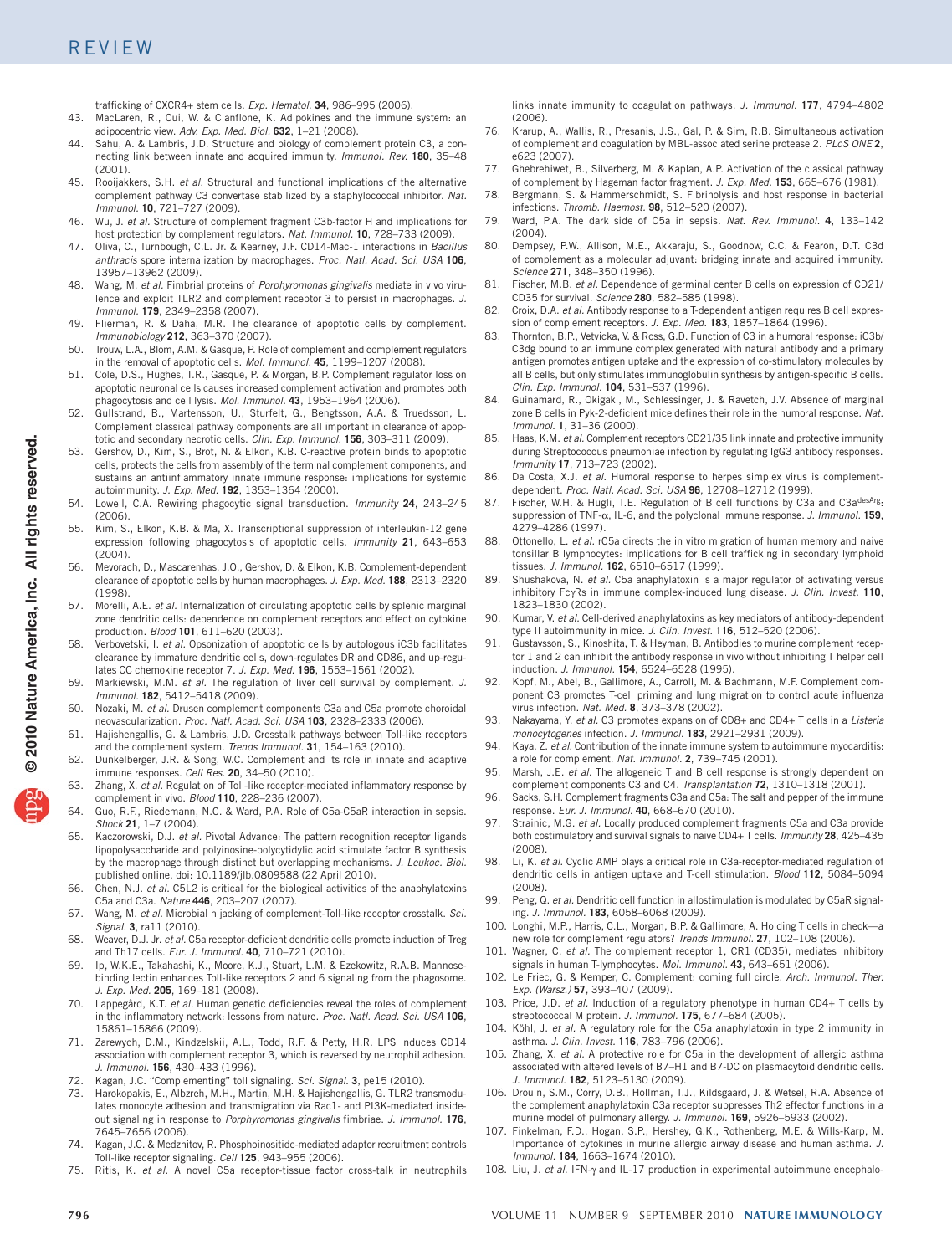trafficking of CXCR4+ stem cells. *Exp. Hematol.* **34**, 986–995 (2006).

- 43. MacLaren, R., Cui, W. & Cianflone, K. Adipokines and the immune system: an adipocentric view. *Adv. Exp. Med. Biol.* **632**, 1–21 (2008).
- 44. Sahu, A. & Lambris, J.D. Structure and biology of complement protein C3, a connecting link between innate and acquired immunity. *Immunol. Rev.* **180**, 35–48 (2001).
- 45. Rooijakkers, S.H. *et al.* Structural and functional implications of the alternative complement pathway C3 convertase stabilized by a staphylococcal inhibitor. *Nat. Immunol.* **10**, 721–727 (2009).
- 46. Wu, J. *et al.* Structure of complement fragment C3b-factor H and implications for host protection by complement regulators. *Nat. Immunol.* **10**, 728–733 (2009).
- 47. Oliva, C., Turnbough, C.L. Jr. & Kearney, J.F. CD14-Mac-1 interactions in *Bacillus anthracis* spore internalization by macrophages. *Proc. Natl. Acad. Sci. USA* **106**, 13957–13962 (2009).
- 48. Wang, M. *et al.* Fimbrial proteins of *Porphyromonas gingivalis* mediate in vivo virulence and exploit TLR2 and complement receptor 3 to persist in macrophages. *J. Immunol.* **179**, 2349–2358 (2007).
- 49. Flierman, R. & Daha, M.R. The clearance of apoptotic cells by complement. *Immunobiology* **212**, 363–370 (2007).
- 50. Trouw, L.A., Blom, A.M. & Gasque, P. Role of complement and complement regulators in the removal of apoptotic cells. *Mol. Immunol.* **45**, 1199–1207 (2008).
- 51. Cole, D.S., Hughes, T.R., Gasque, P. & Morgan, B.P. Complement regulator loss on apoptotic neuronal cells causes increased complement activation and promotes both phagocytosis and cell lysis. *Mol. Immunol.* **43**, 1953–1964 (2006).
- 52. Gullstrand, B., Martensson, U., Sturfelt, G., Bengtsson, A.A. & Truedsson, L. Complement classical pathway components are all important in clearance of apoptotic and secondary necrotic cells. *Clin. Exp. Immunol.* **156**, 303–311 (2009).
- 53. Gershov, D., Kim, S., Brot, N. & Elkon, K.B. C-reactive protein binds to apoptotic cells, protects the cells from assembly of the terminal complement components, and sustains an antiinflammatory innate immune response: implications for systemic autoimmunity. *J. Exp. Med.* **192**, 1353–1364 (2000).
- 54. Lowell, C.A. Rewiring phagocytic signal transduction. *Immunity* **24**, 243–245 (2006).
- 55. Kim, S., Elkon, K.B. & Ma, X. Transcriptional suppression of interleukin-12 gene expression following phagocytosis of apoptotic cells. *Immunity* **21**, 643–653 (2004).
- 56. Mevorach, D., Mascarenhas, J.O., Gershov, D. & Elkon, K.B. Complement-dependent clearance of apoptotic cells by human macrophages. *J. Exp. Med.* **188**, 2313–2320 (1998).
- 57. Morelli, A.E. *et al.* Internalization of circulating apoptotic cells by splenic marginal zone dendritic cells: dependence on complement receptors and effect on cytokine production. *Blood* **101**, 611–620 (2003).
- 58. Verbovetski, I. *et al.* Opsonization of apoptotic cells by autologous iC3b facilitates clearance by immature dendritic cells, down-regulates DR and CD86, and up-regulates CC chemokine receptor 7. *J. Exp. Med.* **196**, 1553–1561 (2002).
- 59. Markiewski, M.M. *et al.* The regulation of liver cell survival by complement. *J. Immunol.* **182**, 5412–5418 (2009).
- 60. Nozaki, M. *et al.* Drusen complement components C3a and C5a promote choroidal neovascularization. *Proc. Natl. Acad. Sci. USA* **103**, 2328–2333 (2006).
- Hajishengallis, G. & Lambris, J.D. Crosstalk pathways between Toll-like receptors and the complement system. *Trends Immunol.* **31**, 154–163 (2010).
- 62. Dunkelberger, J.R. & Song, W.C. Complement and its role in innate and adaptive immune responses. *Cell Res.* **20**, 34–50 (2010).
- 63. Zhang, X. *et al.* Regulation of Toll-like receptor-mediated inflammatory response by complement in vivo. *Blood* **110**, 228–236 (2007).
- 64. Guo, R.F., Riedemann, N.C. & Ward, P.A. Role of C5a-C5aR interaction in sepsis. *Shock* **21**, 1–7 (2004).
- 65. Kaczorowski, D.J. *et al.* Pivotal Advance: The pattern recognition receptor ligands lipopolysaccharide and polyinosine-polycytidylic acid stimulate factor B synthesis by the macrophage through distinct but overlapping mechanisms. *J. Leukoc. Biol.* published online, doi: 10.1189/jlb.0809588 (22 April 2010).
- 66. Chen, N.J. *et al.* C5L2 is critical for the biological activities of the anaphylatoxins C5a and C3a. *Nature* **446**, 203–207 (2007).
- 67. Wang, M. *et al.* Microbial hijacking of complement-Toll-like receptor crosstalk. *Sci. Signal.* **3**, ra11 (2010).
- 68. Weaver, D.J. Jr. *et al.* C5a receptor-deficient dendritic cells promote induction of Treg and Th17 cells. *Eur. J. Immunol.* **40**, 710–721 (2010).
- 69. Ip, W.K.E., Takahashi, K., Moore, K.J., Stuart, L.M. & Ezekowitz, R.A.B. Mannosebinding lectin enhances Toll-like receptors 2 and 6 signaling from the phagosome. *J. Exp. Med.* **205**, 169–181 (2008).
- 70. Lappegård, K.T. *et al.* Human genetic deficiencies reveal the roles of complement in the inflammatory network: lessons from nature. *Proc. Natl. Acad. Sci. USA* **106**, 15861–15866 (2009).
- 71. Zarewych, D.M., Kindzelskii, A.L., Todd, R.F. & Petty, H.R. LPS induces CD14 association with complement receptor 3, which is reversed by neutrophil adhesion. *J. Immunol.* **156**, 430–433 (1996).
- 72. Kagan, J.C. "Complementing" toll signaling. *Sci. Signal.* **3**, pe15 (2010).
- 73. Harokopakis, E., Albzreh, M.H., Martin, M.H. & Hajishengallis, G. TLR2 transmodulates monocyte adhesion and transmigration via Rac1- and PI3K-mediated insideout signaling in response to *Porphyromonas gingivalis* fimbriae. *J. Immunol.* **176**, 7645–7656 (2006).
- 74. Kagan, J.C. & Medzhitov, R. Phosphoinositide-mediated adaptor recruitment controls Toll-like receptor signaling. *Cell* **125**, 943–955 (2006).
- 75. Ritis, K. *et al.* A novel C5a receptor-tissue factor cross-talk in neutrophils

links innate immunity to coagulation pathways. *J. Immunol.* **177**, 4794–4802 (2006).

- 76. Krarup, A., Wallis, R., Presanis, J.S., Gal, P. & Sim, R.B. Simultaneous activation of complement and coagulation by MBL-associated serine protease 2. *PLoS ONE* **2**, e623 (2007).
- 77. Ghebrehiwet, B., Silverberg, M. & Kaplan, A.P. Activation of the classical pathway of complement by Hageman factor fragment. *J. Exp. Med.* **153**, 665–676 (1981).
- 78. Bergmann, S. & Hammerschmidt, S. Fibrinolysis and host response in bacterial infections. *Thromb. Haemost.* **98**, 512–520 (2007).
- 79. Ward, P.A. The dark side of C5a in sepsis. *Nat. Rev. Immunol.* **4**, 133–142 (2004).
- 80. Dempsey, P.W., Allison, M.E., Akkaraju, S., Goodnow, C.C. & Fearon, D.T. C3d of complement as a molecular adjuvant: bridging innate and acquired immunity. *Science* **271**, 348–350 (1996).
- 81. Fischer, M.B. *et al.* Dependence of germinal center B cells on expression of CD21/ CD35 for survival. *Science* **280**, 582–585 (1998).
- 82. Croix, D.A. *et al.* Antibody response to a T-dependent antigen requires B cell expression of complement receptors. *J. Exp. Med.* **183**, 1857–1864 (1996).
- 83. Thornton, B.P., Vetvicka, V. & Ross, G.D. Function of C3 in a humoral response: iC3b/ C3dg bound to an immune complex generated with natural antibody and a primary antigen promotes antigen uptake and the expression of co-stimulatory molecules by all B cells, but only stimulates immunoglobulin synthesis by antigen-specific B cells. *Clin. Exp. Immunol.* **104**, 531–537 (1996).
- 84. Guinamard, R., Okigaki, M., Schlessinger, J. & Ravetch, J.V. Absence of marginal zone B cells in Pyk-2-deficient mice defines their role in the humoral response. *Nat. Immunol.* **1**, 31–36 (2000).
- Haas, K.M. *et al.* Complement receptors CD21/35 link innate and protective immunity during Streptococcus pneumoniae infection by regulating IgG3 antibody responses. *Immunity* **17**, 713–723 (2002).
- 86. Da Costa, X.J. *et al.* Humoral response to herpes simplex virus is complementdependent. *Proc. Natl. Acad. Sci. USA* **96**, 12708–12712 (1999).
- 87. Fischer, W.H. & Hugli, T.E. Regulation of B cell functions by C3a and C3a<sup>desArg</sup>. suppression of TNF-α, IL-6, and the polyclonal immune response. *J. Immunol.* **159**, 4279–4286 (1997).
- 88. Ottonello, L. *et al.* rC5a directs the in vitro migration of human memory and naive tonsillar B lymphocytes: implications for B cell trafficking in secondary lymphoid tissues. *J. Immunol.* **162**, 6510–6517 (1999).
- 89. Shushakova, N. *et al.* C5a anaphylatoxin is a major regulator of activating versus inhibitory FcγRs in immune complex-induced lung disease. *J. Clin. Invest.* **110**, 1823–1830 (2002).
- 90. Kumar, V. *et al.* Cell-derived anaphylatoxins as key mediators of antibody-dependent type II autoimmunity in mice. *J. Clin. Invest.* **116**, 512–520 (2006).
- 91. Gustavsson, S., Kinoshita, T. & Heyman, B. Antibodies to murine complement receptor 1 and 2 can inhibit the antibody response in vivo without inhibiting T helper cell induction. *J. Immunol.* **154**, 6524–6528 (1995).
- 92. Kopf, M., Abel, B., Gallimore, A., Carroll, M. & Bachmann, M.F. Complement component C3 promotes T-cell priming and lung migration to control acute influenza virus infection. *Nat. Med.* **8**, 373–378 (2002).
- 93. Nakayama, Y. *et al.* C3 promotes expansion of CD8+ and CD4+ T cells in a *Listeria monocytogenes* infection. *J. Immunol.* **183**, 2921–2931 (2009).
- 94. Kaya, Z. *et al.* Contribution of the innate immune system to autoimmune myocarditis: a role for complement. *Nat. Immunol.* **2**, 739–745 (2001).
- 95. Marsh, J.E. *et al.* The allogeneic T and B cell response is strongly dependent on complement components C3 and C4. *Transplantation* **72**, 1310–1318 (2001).
- 96. Sacks, S.H. Complement fragments C3a and C5a: The salt and pepper of the immune response. *Eur. J. Immunol.* **40**, 668–670 (2010).
- 97. Strainic, M.G. *et al.* Locally produced complement fragments C5a and C3a provide both costimulatory and survival signals to naive CD4+ T cells. *Immunity* **28**, 425–435 (2008).
- 98. Li, K. *et al.* Cyclic AMP plays a critical role in C3a-receptor-mediated regulation of dendritic cells in antigen uptake and T-cell stimulation. *Blood* **112**, 5084–5094 (2008).
- 99. Peng, Q. *et al.* Dendritic cell function in allostimulation is modulated by C5aR signaling. *J. Immunol.* **183**, 6058–6068 (2009).
- 100. Longhi, M.P., Harris, C.L., Morgan, B.P. & Gallimore, A. Holding T cells in check—a new role for complement regulators? *Trends Immunol.* **27**, 102–108 (2006).
- 101. Wagner, C. *et al.* The complement receptor 1, CR1 (CD35), mediates inhibitory signals in human T-lymphocytes. *Mol. Immunol.* **43**, 643–651 (2006).
- 102. Le Friec, G. & Kemper, C. Complement: coming full circle. *Arch. Immunol. Ther. Exp. (Warsz.)* **57**, 393–407 (2009).
- 103. Price, J.D. *et al.* Induction of a regulatory phenotype in human CD4+ T cells by streptococcal M protein. *J. Immunol.* **175**, 677–684 (2005).
- 104. Köhl, J. *et al.* A regulatory role for the C5a anaphylatoxin in type 2 immunity in asthma. *J. Clin. Invest.* **116**, 783–796 (2006).
- 105. Zhang, X. *et al.* A protective role for C5a in the development of allergic asthma associated with altered levels of B7–H1 and B7-DC on plasmacytoid dendritic cells. *J. Immunol.* **182**, 5123–5130 (2009).
- 106. Drouin, S.M., Corry, D.B., Hollman, T.J., Kildsgaard, J. & Wetsel, R.A. Absence of the complement anaphylatoxin C3a receptor suppresses Th2 effector functions in a murine model of pulmonary allergy. *J. Immunol.* **169**, 5926–5933 (2002).
- 107. Finkelman, F.D., Hogan, S.P., Hershey, G.K., Rothenberg, M.E. & Wills-Karp, M. Importance of cytokines in murine allergic airway disease and human asthma. *J. Immunol.* **184**, 1663–1674 (2010).
- 108. Liu, J. *et al.* IFN-γ and IL-17 production in experimental autoimmune encephalo-